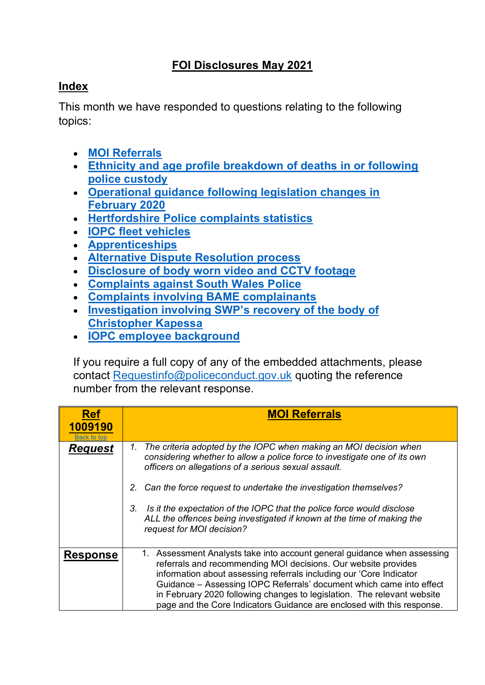# **FOI Disclosures May 2021**

## <span id="page-0-1"></span>**Index**

This month we have responded to questions relating to the following topics:

- **[MOI Referrals](#page-0-0)**
- **[Ethnicity and age profile breakdown of deaths in or following](#page-1-0)  [police custody](#page-1-0)**
- **[Operational guidance following legislation changes in](#page-4-0)  [February 2020](#page-4-0)**
- **[Hertfordshire Police complaints statistics](#page-6-0)**
- **[IOPC fleet vehicles](#page-7-0)**
- **[Apprenticeships](#page-9-0)**
- **[Alternative Dispute Resolution process](#page-10-0)**
- **[Disclosure of body worn video and CCTV footage](#page-11-0)**
- **[Complaints against South Wales Police](#page-12-0)**
- **[Complaints involving BAME complainants](#page-19-0)**
- **[Investigation involving SWP's recovery of the body of](#page-20-0)  [Christopher Kapessa](#page-20-0)**
- **[IOPC employee background](#page-20-1)**

If you require a full copy of any of the embedded attachments, please contact [Requestinfo@policeconduct.gov.uk](mailto:Requestinfo@policeconduct.gov.uk) quoting the reference number from the relevant response.

<span id="page-0-0"></span>

| <b>Ref</b><br>1009190<br>Back to tor | <b>MOI Referrals</b>                                                                                                                                                                                                                                                                                                                                                                                                                           |
|--------------------------------------|------------------------------------------------------------------------------------------------------------------------------------------------------------------------------------------------------------------------------------------------------------------------------------------------------------------------------------------------------------------------------------------------------------------------------------------------|
| <u>Request</u>                       | The criteria adopted by the IOPC when making an MOI decision when<br>1.<br>considering whether to allow a police force to investigate one of its own<br>officers on allegations of a serious sexual assault.                                                                                                                                                                                                                                   |
|                                      | 2. Can the force request to undertake the investigation themselves?                                                                                                                                                                                                                                                                                                                                                                            |
|                                      | Is it the expectation of the IOPC that the police force would disclose<br>3.<br>ALL the offences being investigated if known at the time of making the<br>request for MOI decision?                                                                                                                                                                                                                                                            |
| <b>Response</b>                      | 1. Assessment Analysts take into account general guidance when assessing<br>referrals and recommending MOI decisions. Our website provides<br>information about assessing referrals including our 'Core Indicator<br>Guidance - Assessing IOPC Referrals' document which came into effect<br>in February 2020 following changes to legislation. The relevant website<br>page and the Core Indicators Guidance are enclosed with this response. |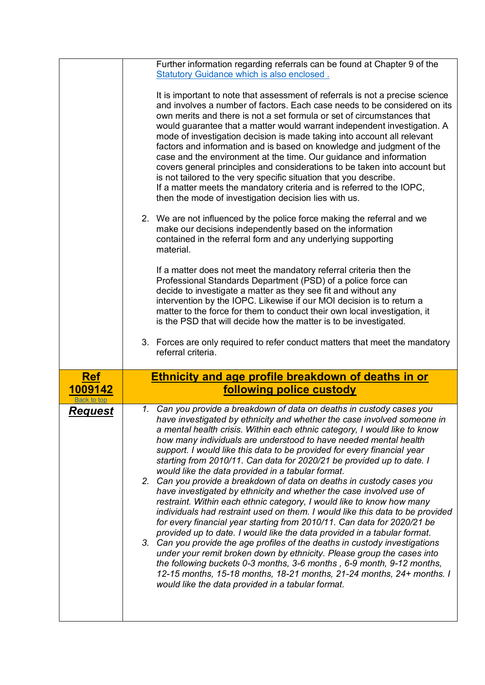<span id="page-1-0"></span>

|                        | Further information regarding referrals can be found at Chapter 9 of the<br>Statutory Guidance which is also enclosed.<br>It is important to note that assessment of referrals is not a precise science<br>and involves a number of factors. Each case needs to be considered on its<br>own merits and there is not a set formula or set of circumstances that<br>would guarantee that a matter would warrant independent investigation. A<br>mode of investigation decision is made taking into account all relevant<br>factors and information and is based on knowledge and judgment of the<br>case and the environment at the time. Our guidance and information<br>covers general principles and considerations to be taken into account but<br>is not tailored to the very specific situation that you describe.<br>If a matter meets the mandatory criteria and is referred to the IOPC,<br>then the mode of investigation decision lies with us.<br>2. We are not influenced by the police force making the referral and we<br>make our decisions independently based on the information<br>contained in the referral form and any underlying supporting<br>material.<br>If a matter does not meet the mandatory referral criteria then the<br>Professional Standards Department (PSD) of a police force can<br>decide to investigate a matter as they see fit and without any<br>intervention by the IOPC. Likewise if our MOI decision is to return a<br>matter to the force for them to conduct their own local investigation, it<br>is the PSD that will decide how the matter is to be investigated. |
|------------------------|-------------------------------------------------------------------------------------------------------------------------------------------------------------------------------------------------------------------------------------------------------------------------------------------------------------------------------------------------------------------------------------------------------------------------------------------------------------------------------------------------------------------------------------------------------------------------------------------------------------------------------------------------------------------------------------------------------------------------------------------------------------------------------------------------------------------------------------------------------------------------------------------------------------------------------------------------------------------------------------------------------------------------------------------------------------------------------------------------------------------------------------------------------------------------------------------------------------------------------------------------------------------------------------------------------------------------------------------------------------------------------------------------------------------------------------------------------------------------------------------------------------------------------------------------------------------------------------------------------------------|
|                        | 3. Forces are only required to refer conduct matters that meet the mandatory<br>referral criteria.                                                                                                                                                                                                                                                                                                                                                                                                                                                                                                                                                                                                                                                                                                                                                                                                                                                                                                                                                                                                                                                                                                                                                                                                                                                                                                                                                                                                                                                                                                                |
| <b>Ref</b>             | <b>Ethnicity and age profile breakdown of deaths in or</b>                                                                                                                                                                                                                                                                                                                                                                                                                                                                                                                                                                                                                                                                                                                                                                                                                                                                                                                                                                                                                                                                                                                                                                                                                                                                                                                                                                                                                                                                                                                                                        |
| 1009142<br>Back to top | following police custody                                                                                                                                                                                                                                                                                                                                                                                                                                                                                                                                                                                                                                                                                                                                                                                                                                                                                                                                                                                                                                                                                                                                                                                                                                                                                                                                                                                                                                                                                                                                                                                          |
| <u>Request</u>         | 1. Can you provide a breakdown of data on deaths in custody cases you<br>have investigated by ethnicity and whether the case involved someone in<br>a mental health crisis. Within each ethnic category, I would like to know<br>how many individuals are understood to have needed mental health<br>support. I would like this data to be provided for every financial year<br>starting from 2010/11. Can data for 2020/21 be provided up to date. I                                                                                                                                                                                                                                                                                                                                                                                                                                                                                                                                                                                                                                                                                                                                                                                                                                                                                                                                                                                                                                                                                                                                                             |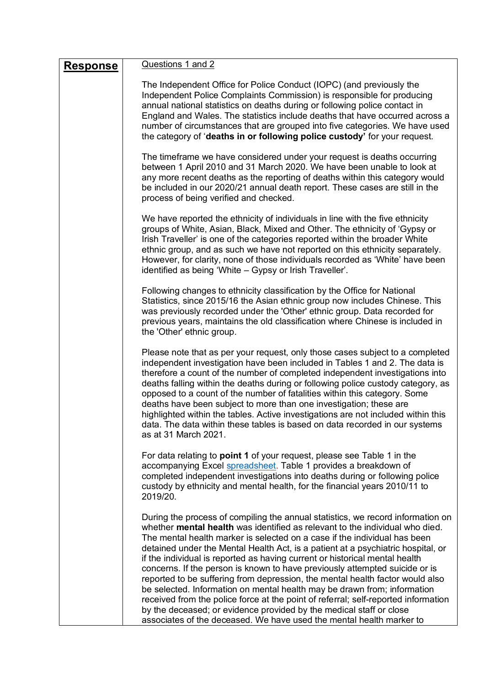| <b>Response</b> | Questions 1 and 2                                                                                                                                                                                                                                                                                                                                                                                                                                                                                                                                                                                                                                                                                                                                                                                                                                                                                |
|-----------------|--------------------------------------------------------------------------------------------------------------------------------------------------------------------------------------------------------------------------------------------------------------------------------------------------------------------------------------------------------------------------------------------------------------------------------------------------------------------------------------------------------------------------------------------------------------------------------------------------------------------------------------------------------------------------------------------------------------------------------------------------------------------------------------------------------------------------------------------------------------------------------------------------|
|                 | The Independent Office for Police Conduct (IOPC) (and previously the<br>Independent Police Complaints Commission) is responsible for producing<br>annual national statistics on deaths during or following police contact in<br>England and Wales. The statistics include deaths that have occurred across a<br>number of circumstances that are grouped into five categories. We have used<br>the category of 'deaths in or following police custody' for your request.                                                                                                                                                                                                                                                                                                                                                                                                                         |
|                 | The timeframe we have considered under your request is deaths occurring<br>between 1 April 2010 and 31 March 2020. We have been unable to look at<br>any more recent deaths as the reporting of deaths within this category would<br>be included in our 2020/21 annual death report. These cases are still in the<br>process of being verified and checked.                                                                                                                                                                                                                                                                                                                                                                                                                                                                                                                                      |
|                 | We have reported the ethnicity of individuals in line with the five ethnicity<br>groups of White, Asian, Black, Mixed and Other. The ethnicity of 'Gypsy or<br>Irish Traveller' is one of the categories reported within the broader White<br>ethnic group, and as such we have not reported on this ethnicity separately.<br>However, for clarity, none of those individuals recorded as 'White' have been<br>identified as being 'White - Gypsy or Irish Traveller'.                                                                                                                                                                                                                                                                                                                                                                                                                           |
|                 | Following changes to ethnicity classification by the Office for National<br>Statistics, since 2015/16 the Asian ethnic group now includes Chinese. This<br>was previously recorded under the 'Other' ethnic group. Data recorded for<br>previous years, maintains the old classification where Chinese is included in<br>the 'Other' ethnic group.                                                                                                                                                                                                                                                                                                                                                                                                                                                                                                                                               |
|                 | Please note that as per your request, only those cases subject to a completed<br>independent investigation have been included in Tables 1 and 2. The data is<br>therefore a count of the number of completed independent investigations into<br>deaths falling within the deaths during or following police custody category, as<br>opposed to a count of the number of fatalities within this category. Some<br>deaths have been subject to more than one investigation; these are<br>highlighted within the tables. Active investigations are not included within this<br>data. The data within these tables is based on data recorded in our systems<br>as at 31 March 2021.                                                                                                                                                                                                                  |
|                 | For data relating to <b>point 1</b> of your request, please see Table 1 in the<br>accompanying Excel spreadsheet. Table 1 provides a breakdown of<br>completed independent investigations into deaths during or following police<br>custody by ethnicity and mental health, for the financial years 2010/11 to<br>2019/20.                                                                                                                                                                                                                                                                                                                                                                                                                                                                                                                                                                       |
|                 | During the process of compiling the annual statistics, we record information on<br>whether mental health was identified as relevant to the individual who died.<br>The mental health marker is selected on a case if the individual has been<br>detained under the Mental Health Act, is a patient at a psychiatric hospital, or<br>if the individual is reported as having current or historical mental health<br>concerns. If the person is known to have previously attempted suicide or is<br>reported to be suffering from depression, the mental health factor would also<br>be selected. Information on mental health may be drawn from; information<br>received from the police force at the point of referral; self-reported information<br>by the deceased; or evidence provided by the medical staff or close<br>associates of the deceased. We have used the mental health marker to |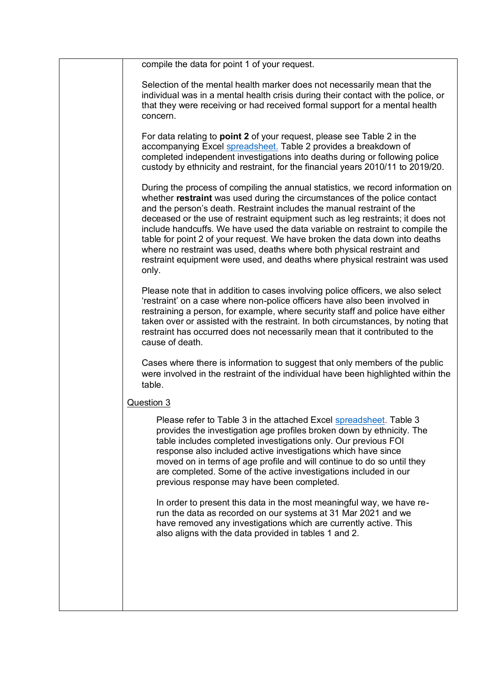| compile the data for point 1 of your request.                                                                                                                                                                                                                                                                                                                                                                                                                                                                                                                                                                                                             |
|-----------------------------------------------------------------------------------------------------------------------------------------------------------------------------------------------------------------------------------------------------------------------------------------------------------------------------------------------------------------------------------------------------------------------------------------------------------------------------------------------------------------------------------------------------------------------------------------------------------------------------------------------------------|
| Selection of the mental health marker does not necessarily mean that the<br>individual was in a mental health crisis during their contact with the police, or<br>that they were receiving or had received formal support for a mental health<br>concern.                                                                                                                                                                                                                                                                                                                                                                                                  |
| For data relating to <b>point 2</b> of your request, please see Table 2 in the<br>accompanying Excel spreadsheet. Table 2 provides a breakdown of<br>completed independent investigations into deaths during or following police<br>custody by ethnicity and restraint, for the financial years 2010/11 to 2019/20.                                                                                                                                                                                                                                                                                                                                       |
| During the process of compiling the annual statistics, we record information on<br>whether restraint was used during the circumstances of the police contact<br>and the person's death. Restraint includes the manual restraint of the<br>deceased or the use of restraint equipment such as leg restraints; it does not<br>include handcuffs. We have used the data variable on restraint to compile the<br>table for point 2 of your request. We have broken the data down into deaths<br>where no restraint was used, deaths where both physical restraint and<br>restraint equipment were used, and deaths where physical restraint was used<br>only. |
| Please note that in addition to cases involving police officers, we also select<br>'restraint' on a case where non-police officers have also been involved in<br>restraining a person, for example, where security staff and police have either<br>taken over or assisted with the restraint. In both circumstances, by noting that<br>restraint has occurred does not necessarily mean that it contributed to the<br>cause of death.                                                                                                                                                                                                                     |
| Cases where there is information to suggest that only members of the public<br>were involved in the restraint of the individual have been highlighted within the<br>table.                                                                                                                                                                                                                                                                                                                                                                                                                                                                                |
| Question 3                                                                                                                                                                                                                                                                                                                                                                                                                                                                                                                                                                                                                                                |
| Please refer to Table 3 in the attached Excel spreadsheet. Table 3<br>provides the investigation age profiles broken down by ethnicity. The<br>table includes completed investigations only. Our previous FOI<br>response also included active investigations which have since<br>moved on in terms of age profile and will continue to do so until they<br>are completed. Some of the active investigations included in our<br>previous response may have been completed.                                                                                                                                                                                |
| In order to present this data in the most meaningful way, we have re-<br>run the data as recorded on our systems at 31 Mar 2021 and we<br>have removed any investigations which are currently active. This<br>also aligns with the data provided in tables 1 and 2.                                                                                                                                                                                                                                                                                                                                                                                       |
|                                                                                                                                                                                                                                                                                                                                                                                                                                                                                                                                                                                                                                                           |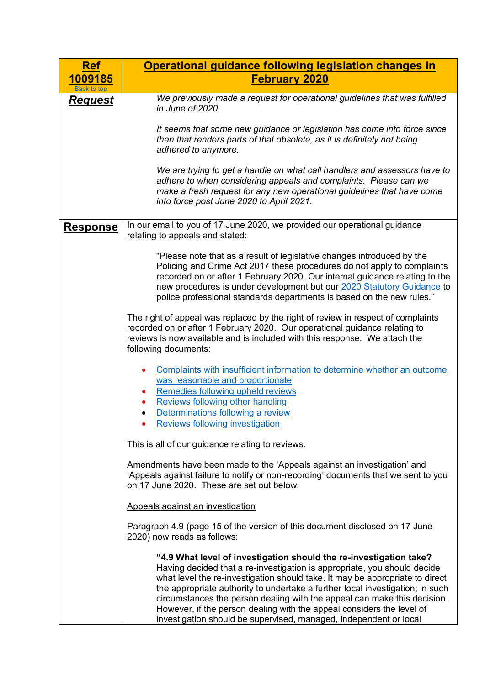<span id="page-4-0"></span>

| <b>Ref</b>      | Operational guidance following legislation changes in                                                                                                                                                                                                                                                                                                                                                                                                                                                                                     |  |  |  |  |  |
|-----------------|-------------------------------------------------------------------------------------------------------------------------------------------------------------------------------------------------------------------------------------------------------------------------------------------------------------------------------------------------------------------------------------------------------------------------------------------------------------------------------------------------------------------------------------------|--|--|--|--|--|
| <u>1009185</u>  | <b>February 2020</b>                                                                                                                                                                                                                                                                                                                                                                                                                                                                                                                      |  |  |  |  |  |
| <b>Request</b>  | We previously made a request for operational guidelines that was fulfilled<br>in June of 2020.                                                                                                                                                                                                                                                                                                                                                                                                                                            |  |  |  |  |  |
|                 | It seems that some new guidance or legislation has come into force since<br>then that renders parts of that obsolete, as it is definitely not being<br>adhered to anymore.                                                                                                                                                                                                                                                                                                                                                                |  |  |  |  |  |
|                 | We are trying to get a handle on what call handlers and assessors have to<br>adhere to when considering appeals and complaints. Please can we<br>make a fresh request for any new operational guidelines that have come<br>into force post June 2020 to April 2021.                                                                                                                                                                                                                                                                       |  |  |  |  |  |
| <b>Response</b> | In our email to you of 17 June 2020, we provided our operational guidance<br>relating to appeals and stated:                                                                                                                                                                                                                                                                                                                                                                                                                              |  |  |  |  |  |
|                 | "Please note that as a result of legislative changes introduced by the<br>Policing and Crime Act 2017 these procedures do not apply to complaints<br>recorded on or after 1 February 2020. Our internal guidance relating to the<br>new procedures is under development but our 2020 Statutory Guidance to<br>police professional standards departments is based on the new rules."                                                                                                                                                       |  |  |  |  |  |
|                 | The right of appeal was replaced by the right of review in respect of complaints<br>recorded on or after 1 February 2020. Our operational guidance relating to<br>reviews is now available and is included with this response. We attach the<br>following documents:                                                                                                                                                                                                                                                                      |  |  |  |  |  |
|                 | Complaints with insufficient information to determine whether an outcome<br>was reasonable and proportionate<br>Remedies following upheld reviews<br><b>Reviews following other handling</b>                                                                                                                                                                                                                                                                                                                                              |  |  |  |  |  |
|                 | Determinations following a review<br><b>Reviews following investigation</b>                                                                                                                                                                                                                                                                                                                                                                                                                                                               |  |  |  |  |  |
|                 | This is all of our guidance relating to reviews.                                                                                                                                                                                                                                                                                                                                                                                                                                                                                          |  |  |  |  |  |
|                 | Amendments have been made to the 'Appeals against an investigation' and<br>'Appeals against failure to notify or non-recording' documents that we sent to you<br>on 17 June 2020. These are set out below.                                                                                                                                                                                                                                                                                                                                |  |  |  |  |  |
|                 | Appeals against an investigation                                                                                                                                                                                                                                                                                                                                                                                                                                                                                                          |  |  |  |  |  |
|                 | Paragraph 4.9 (page 15 of the version of this document disclosed on 17 June<br>2020) now reads as follows:                                                                                                                                                                                                                                                                                                                                                                                                                                |  |  |  |  |  |
|                 | "4.9 What level of investigation should the re-investigation take?<br>Having decided that a re-investigation is appropriate, you should decide<br>what level the re-investigation should take. It may be appropriate to direct<br>the appropriate authority to undertake a further local investigation; in such<br>circumstances the person dealing with the appeal can make this decision.<br>However, if the person dealing with the appeal considers the level of<br>investigation should be supervised, managed, independent or local |  |  |  |  |  |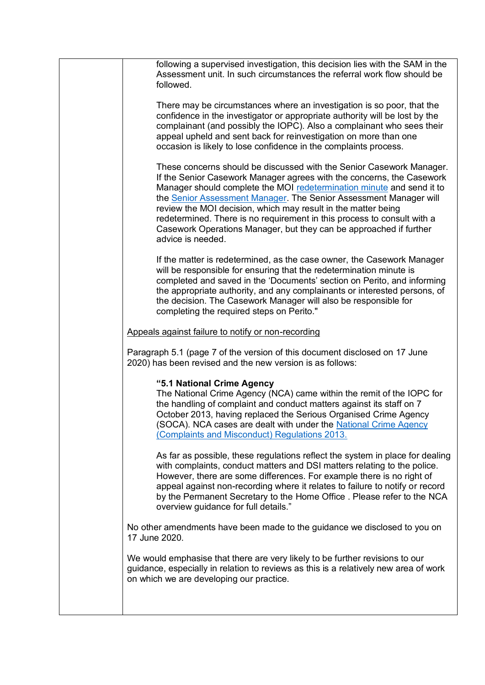| following a supervised investigation, this decision lies with the SAM in the<br>Assessment unit. In such circumstances the referral work flow should be<br>followed.                                                                                                                                                                                                                                                                                                                                                               |
|------------------------------------------------------------------------------------------------------------------------------------------------------------------------------------------------------------------------------------------------------------------------------------------------------------------------------------------------------------------------------------------------------------------------------------------------------------------------------------------------------------------------------------|
| There may be circumstances where an investigation is so poor, that the<br>confidence in the investigator or appropriate authority will be lost by the<br>complainant (and possibly the IOPC). Also a complainant who sees their<br>appeal upheld and sent back for reinvestigation on more than one<br>occasion is likely to lose confidence in the complaints process.                                                                                                                                                            |
| These concerns should be discussed with the Senior Casework Manager.<br>If the Senior Casework Manager agrees with the concerns, the Casework<br>Manager should complete the MOI redetermination minute and send it to<br>the Senior Assessment Manager. The Senior Assessment Manager will<br>review the MOI decision, which may result in the matter being<br>redetermined. There is no requirement in this process to consult with a<br>Casework Operations Manager, but they can be approached if further<br>advice is needed. |
| If the matter is redetermined, as the case owner, the Casework Manager<br>will be responsible for ensuring that the redetermination minute is<br>completed and saved in the 'Documents' section on Perito, and informing<br>the appropriate authority, and any complainants or interested persons, of<br>the decision. The Casework Manager will also be responsible for<br>completing the required steps on Perito."                                                                                                              |
| Appeals against failure to notify or non-recording                                                                                                                                                                                                                                                                                                                                                                                                                                                                                 |
| Paragraph 5.1 (page 7 of the version of this document disclosed on 17 June<br>2020) has been revised and the new version is as follows:                                                                                                                                                                                                                                                                                                                                                                                            |
| "5.1 National Crime Agency<br>The National Crime Agency (NCA) came within the remit of the IOPC for<br>the handling of complaint and conduct matters against its staff on 7<br>October 2013, having replaced the Serious Organised Crime Agency<br>(SOCA). NCA cases are dealt with under the National Crime Agency<br>(Complaints and Misconduct) Regulations 2013.                                                                                                                                                               |
| As far as possible, these regulations reflect the system in place for dealing<br>with complaints, conduct matters and DSI matters relating to the police.<br>However, there are some differences. For example there is no right of<br>appeal against non-recording where it relates to failure to notify or record<br>by the Permanent Secretary to the Home Office. Please refer to the NCA<br>overview guidance for full details."                                                                                               |
| No other amendments have been made to the guidance we disclosed to you on<br>17 June 2020.                                                                                                                                                                                                                                                                                                                                                                                                                                         |
| We would emphasise that there are very likely to be further revisions to our<br>guidance, especially in relation to reviews as this is a relatively new area of work<br>on which we are developing our practice.                                                                                                                                                                                                                                                                                                                   |
|                                                                                                                                                                                                                                                                                                                                                                                                                                                                                                                                    |
|                                                                                                                                                                                                                                                                                                                                                                                                                                                                                                                                    |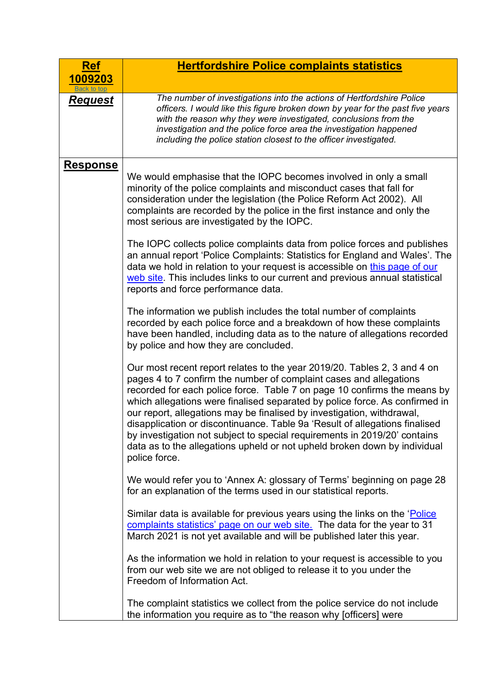<span id="page-6-0"></span>

| <u>Ref</u>                    | <b>Hertfordshire Police complaints statistics</b>                                                                                                                                                                                                                                                                                                                                                                                                                                                                                                                                                                                             |
|-------------------------------|-----------------------------------------------------------------------------------------------------------------------------------------------------------------------------------------------------------------------------------------------------------------------------------------------------------------------------------------------------------------------------------------------------------------------------------------------------------------------------------------------------------------------------------------------------------------------------------------------------------------------------------------------|
| 1009203<br><b>Back to top</b> |                                                                                                                                                                                                                                                                                                                                                                                                                                                                                                                                                                                                                                               |
| <b>Request</b>                | The number of investigations into the actions of Hertfordshire Police<br>officers. I would like this figure broken down by year for the past five years<br>with the reason why they were investigated, conclusions from the<br>investigation and the police force area the investigation happened<br>including the police station closest to the officer investigated.                                                                                                                                                                                                                                                                        |
| <b>Response</b>               | We would emphasise that the IOPC becomes involved in only a small<br>minority of the police complaints and misconduct cases that fall for<br>consideration under the legislation (the Police Reform Act 2002). All<br>complaints are recorded by the police in the first instance and only the<br>most serious are investigated by the IOPC.                                                                                                                                                                                                                                                                                                  |
|                               | The IOPC collects police complaints data from police forces and publishes<br>an annual report 'Police Complaints: Statistics for England and Wales'. The<br>data we hold in relation to your request is accessible on this page of our<br>web site. This includes links to our current and previous annual statistical<br>reports and force performance data.                                                                                                                                                                                                                                                                                 |
|                               | The information we publish includes the total number of complaints<br>recorded by each police force and a breakdown of how these complaints<br>have been handled, including data as to the nature of allegations recorded<br>by police and how they are concluded.                                                                                                                                                                                                                                                                                                                                                                            |
|                               | Our most recent report relates to the year 2019/20. Tables 2, 3 and 4 on<br>pages 4 to 7 confirm the number of complaint cases and allegations<br>recorded for each police force. Table 7 on page 10 confirms the means by<br>which allegations were finalised separated by police force. As confirmed in<br>our report, allegations may be finalised by investigation, withdrawal,<br>disapplication or discontinuance. Table 9a 'Result of allegations finalised<br>by investigation not subject to special requirements in 2019/20' contains<br>data as to the allegations upheld or not upheld broken down by individual<br>police force. |
|                               | We would refer you to 'Annex A: glossary of Terms' beginning on page 28<br>for an explanation of the terms used in our statistical reports.                                                                                                                                                                                                                                                                                                                                                                                                                                                                                                   |
|                               | Similar data is available for previous years using the links on the 'Police'<br>complaints statistics' page on our web site. The data for the year to 31<br>March 2021 is not yet available and will be published later this year.                                                                                                                                                                                                                                                                                                                                                                                                            |
|                               | As the information we hold in relation to your request is accessible to you<br>from our web site we are not obliged to release it to you under the<br>Freedom of Information Act.                                                                                                                                                                                                                                                                                                                                                                                                                                                             |
|                               | The complaint statistics we collect from the police service do not include<br>the information you require as to "the reason why [officers] were                                                                                                                                                                                                                                                                                                                                                                                                                                                                                               |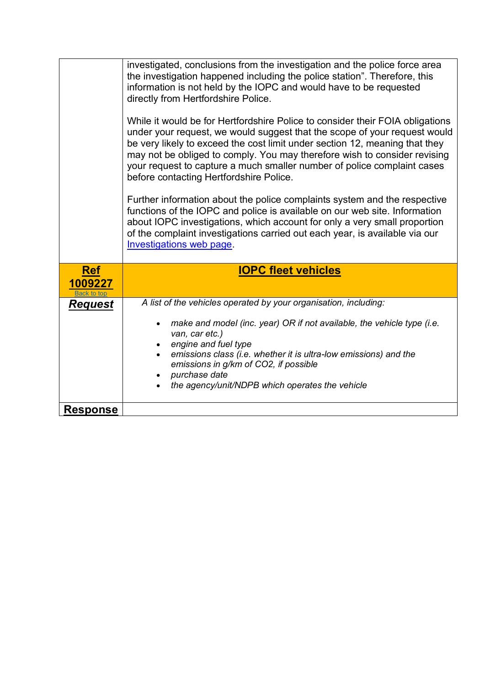<span id="page-7-0"></span>

|                                      | investigated, conclusions from the investigation and the police force area<br>the investigation happened including the police station". Therefore, this<br>information is not held by the IOPC and would have to be requested<br>directly from Hertfordshire Police.<br>While it would be for Hertfordshire Police to consider their FOIA obligations<br>under your request, we would suggest that the scope of your request would<br>be very likely to exceed the cost limit under section 12, meaning that they<br>may not be obliged to comply. You may therefore wish to consider revising<br>your request to capture a much smaller number of police complaint cases<br>before contacting Hertfordshire Police.<br>Further information about the police complaints system and the respective |  |  |  |  |  |
|--------------------------------------|---------------------------------------------------------------------------------------------------------------------------------------------------------------------------------------------------------------------------------------------------------------------------------------------------------------------------------------------------------------------------------------------------------------------------------------------------------------------------------------------------------------------------------------------------------------------------------------------------------------------------------------------------------------------------------------------------------------------------------------------------------------------------------------------------|--|--|--|--|--|
|                                      | functions of the IOPC and police is available on our web site. Information<br>about IOPC investigations, which account for only a very small proportion<br>of the complaint investigations carried out each year, is available via our<br>Investigations web page.                                                                                                                                                                                                                                                                                                                                                                                                                                                                                                                                |  |  |  |  |  |
| <b>Ref</b><br>1009227<br>Back to tor | <b>IOPC fleet vehicles</b>                                                                                                                                                                                                                                                                                                                                                                                                                                                                                                                                                                                                                                                                                                                                                                        |  |  |  |  |  |
| <u>Request</u>                       | A list of the vehicles operated by your organisation, including:                                                                                                                                                                                                                                                                                                                                                                                                                                                                                                                                                                                                                                                                                                                                  |  |  |  |  |  |
|                                      | make and model (inc. year) OR if not available, the vehicle type (i.e.<br>van, car etc.)<br>engine and fuel type<br>emissions class (i.e. whether it is ultra-low emissions) and the<br>emissions in g/km of CO2, if possible<br>purchase date<br>the agency/unit/NDPB which operates the vehicle                                                                                                                                                                                                                                                                                                                                                                                                                                                                                                 |  |  |  |  |  |
| <b>Response</b>                      |                                                                                                                                                                                                                                                                                                                                                                                                                                                                                                                                                                                                                                                                                                                                                                                                   |  |  |  |  |  |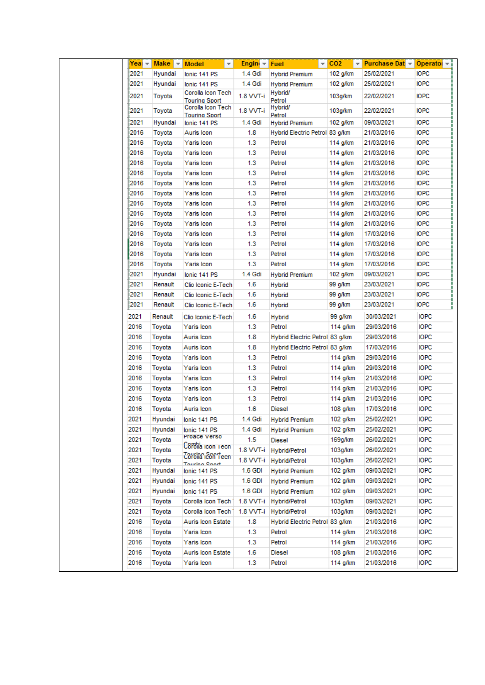| Year $\sim$ | Make $\blacktriangledown$ | Model                                     | v<br>Engin $\tau$ | Fuel                           | $\sqrt{CO2}$ | <del>▼</del> Purchase Dat <del>▼</del> Operatol ▼ i |             |
|-------------|---------------------------|-------------------------------------------|-------------------|--------------------------------|--------------|-----------------------------------------------------|-------------|
| 2021        | Hyundai                   | lonic 141 PS                              | 1.4 Gdi           | <b>Hybrid Premium</b>          | 102 g/km     | 25/02/2021                                          | <b>IOPC</b> |
| 2021        | Hyundai                   | lonic 141 PS                              | 1.4 Gdi           | <b>Hybrid Premium</b>          | 102 q/km     | 25/02/2021                                          | <b>IOPC</b> |
| 2021        | Toyota                    | Corolla Icon Tech<br><b>Touring Sport</b> | 1.8 VVT-i         | Hybrid/<br>Petrol              | 103g/km      | 22/02/2021                                          | <b>IOPC</b> |
| 2021        | Toyota                    | Corolla Icon Tech<br><b>Touring Sport</b> | 1.8 VVT-i         | Hybrid/<br>Petrol              | 103g/km      | 22/02/2021                                          | <b>IOPC</b> |
| 2021        | Hyundai                   | lonic 141 PS                              | 1.4 Gdi           | <b>Hybrid Premium</b>          | 102 g/km     | 09/03/2021                                          | <b>IOPC</b> |
| 2016        | Toyota                    | Auris Icon                                | 1.8               | Hybrid Electric Petrol 83 g/km |              | 21/03/2016                                          | <b>IOPC</b> |
| 2016        | Toyota                    | Yaris Icon                                | 1.3               | Petrol                         | 114 g/km     | 21/03/2016                                          | <b>IOPC</b> |
| 2016        | Toyota                    | Yaris Icon                                | 1.3               | Petrol                         | 114 g/km     | 21/03/2016                                          | <b>IOPC</b> |
| 2016        | Toyota                    | Yaris Icon                                | 1.3               | Petrol                         | 114 g/km     | 21/03/2016                                          | <b>IOPC</b> |
| 2016        | Toyota                    | Yaris Icon                                | 1.3               | Petrol                         | 114 g/km     | 21/03/2016                                          | <b>IOPC</b> |
| 2016        | Toyota                    | Yaris Icon                                | 1.3               | Petrol                         | 114 g/km     | 21/03/2016                                          | <b>IOPC</b> |
| 2016        | Toyota                    | Yaris Icon                                | 1.3               | Petrol                         | 114 g/km     | 21/03/2016                                          | <b>IOPC</b> |
| 2016        | Toyota                    | Yaris Icon                                | 1.3               | Petrol                         | 114 g/km     | 21/03/2016                                          | <b>IOPC</b> |
| 2016        | Toyota                    | Yaris Icon                                | 1.3               | Petrol                         | 114 g/km     | 21/03/2016                                          | <b>IOPC</b> |
| 2016        | Toyota                    | Yaris Icon                                | 1.3               | Petrol                         | 114 g/km     | 21/03/2016                                          | <b>IOPC</b> |
| 2016        | Toyota                    | Yaris Icon                                | 1.3               | Petrol                         | 114 g/km     | 17/03/2016                                          | <b>IOPC</b> |
| 2016        | Toyota                    | Yaris Icon                                | 1.3               | Petrol                         | 114 g/km     | 17/03/2016                                          | <b>IOPC</b> |
| 2016        | Toyota                    | Yaris Icon                                | 1.3               | Petrol                         | 114 g/km     | 17/03/2016                                          | <b>IOPC</b> |
| 2016        | Toyota                    | Yaris Icon                                | 1.3               | Petrol                         | 114 g/km     | 17/03/2016                                          | <b>IOPC</b> |
| 2021        | Hyundai                   | lonic 141 PS                              | 1.4 Gdi           | <b>Hybrid Premium</b>          | 102 g/km     | 09/03/2021                                          | <b>IOPC</b> |
| 2021        | Renault                   | Clio Iconic E-Tech                        | 1.6               | <b>Hybrid</b>                  | 99 g/km      | 23/03/2021                                          | <b>IOPC</b> |
| 2021        | Renault                   | Clio Iconic E-Tech                        | 1.6               | <b>Hybrid</b>                  | 99 g/km      | 23/03/2021                                          | <b>IOPC</b> |
| 2021        | Renault                   | Clio Iconic E-Tech                        | 1.6               | <b>Hybrid</b>                  | 99 g/km      | 23/03/2021                                          | <b>IOPC</b> |
| 2021        | Renault                   | Clio Iconic E-Tech                        | 1.6               | Hybrid                         | 99 g/km      | 30/03/2021                                          | <b>IOPC</b> |
| 2016        | Toyota                    | Yaris Icon                                | 1.3               | Petrol                         | 114 g/km     | 29/03/2016                                          | <b>IOPC</b> |
| 2016        | Toyota                    | Auris Icon                                | 1.8               | Hybrid Electric Petrol 83 g/km |              | 29/03/2016                                          | <b>IOPC</b> |
| 2016        | Toyota                    | Auris Icon                                | 1.8               | Hybrid Electric Petrol 83 g/km |              | 17/03/2016                                          | <b>IOPC</b> |
| 2016        | Toyota                    | Yaris Icon                                | 1.3               | Petrol                         | 114 g/km     | 29/03/2016                                          | <b>IOPC</b> |
| 2016        | Toyota                    | Yaris Icon                                | 1.3               | Petrol                         | 114 g/km     | 29/03/2016                                          | <b>IOPC</b> |
| 2016        | Toyota                    | Yaris Icon                                | 1.3               | Petrol                         | 114 g/km     | 21/03/2016                                          | <b>IOPC</b> |
| 2016        | Toyota                    | Yaris Icon                                | 1.3               | Petrol                         | 114 g/km     | 21/03/2016                                          | <b>IOPC</b> |
| 2016        | Toyota                    | Yaris Icon                                | 1.3               | Petrol                         | 114 g/km     | 21/03/2016                                          | <b>IOPC</b> |
| 2016        | Toyota                    | Auris Icon                                | 1.6               | Diesel                         | 108 g/km     | 17/03/2016                                          | <b>IOPC</b> |
| 2021        | Hvundai                   | lonic 141 PS                              | 1.4 Gdi           | <b>Hybrid Premium</b>          | 102 g/km     | 25/02/2021                                          | <b>IOPC</b> |
| 2021        | Hyundai                   | lonic 141 PS                              | 1.4 Gdi           | <b>Hybrid Premium</b>          | 102 q/km     | 25/02/2021                                          | <b>IOPC</b> |
| 2021        | Toyota                    | Proace verso                              | 1.5               | Diesel                         | 169g/km      | 26/02/2021                                          | <b>IOPC</b> |
| 2021        | Toyota                    | Coronia icon Tecn                         | 1.8 VVT-i         | Hybrid/Petrol                  | 103g/km      | 26/02/2021                                          | <b>IOPC</b> |
| 2021        | Toyota                    | Corolla Con Tecn<br><b>Touring Sport</b>  | 1.8 VVT-i         | Hybrid/Petrol                  | 103g/km      | 26/02/2021                                          | <b>IOPC</b> |
| 2021        | Hyundai                   | lonic 141 PS                              | 1.6 GDI           | <b>Hybrid Premium</b>          | 102 g/km     | 09/03/2021                                          | <b>IOPC</b> |
| 2021        | Hyundai                   | lonic 141 PS                              | 1.6 GDI           | <b>Hybrid Premium</b>          | 102 g/km     | 09/03/2021                                          | <b>IOPC</b> |
| 2021        | Hyundai                   | lonic 141 PS                              | 1.6 GDI           | <b>Hybrid Premium</b>          | 102 g/km     | 09/03/2021                                          | <b>IOPC</b> |
| 2021        | Toyota                    | Corolla Icon Tech 1                       | 1.8 VVT-i         | Hybrid/Petrol                  | 103g/km      | 09/03/2021                                          | <b>IOPC</b> |
| 2021        | Toyota                    | Corolla Icon Tech 1                       | 1.8 VVT-i         | Hybrid/Petrol                  | 103g/km      | 09/03/2021                                          | <b>IOPC</b> |
| 2016        | Toyota                    | Auris Icon Estate                         | 1.8               | Hybrid Electric Petrol 83 g/km |              | 21/03/2016                                          | <b>IOPC</b> |
| 2016        | Toyota                    | Yaris Icon                                | 1.3               | Petrol                         | 114 g/km     | 21/03/2016                                          | <b>IOPC</b> |
| 2016        | Toyota                    | Yaris Icon                                | 1.3               | Petrol                         | 114 g/km     | 21/03/2016                                          | <b>IOPC</b> |
| 2016        | Toyota                    | Auris Icon Estate                         | 1.6               | Diesel                         | 108 g/km     | 21/03/2016                                          | <b>IOPC</b> |
| 2016        | Toyota                    | Yaris Icon                                | 1.3               | Petrol                         | 114 g/km     | 21/03/2016                                          | <b>IOPC</b> |
|             |                           |                                           |                   |                                |              |                                                     |             |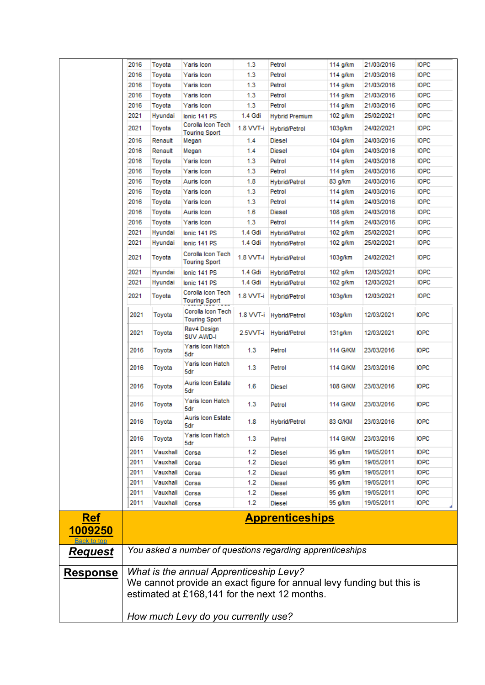<span id="page-9-0"></span>

|                 | 2016                                          | Toyota   | Yaris Icon                                | 1.3              | Petrol                                                                | 114 g/km | 21/03/2016 | <b>IOPC</b> |
|-----------------|-----------------------------------------------|----------|-------------------------------------------|------------------|-----------------------------------------------------------------------|----------|------------|-------------|
|                 | 2016                                          | Toyota   | Yaris Icon                                | 1.3              | Petrol                                                                | 114 g/km | 21/03/2016 | <b>IOPC</b> |
|                 | 2016                                          | Toyota   | Yaris Icon                                | 1.3              | Petrol                                                                | 114 g/km | 21/03/2016 | <b>IOPC</b> |
|                 | 2016                                          | Toyota   | Yaris Icon                                | 1.3              | Petrol                                                                | 114 g/km | 21/03/2016 | <b>IOPC</b> |
|                 | 2016                                          | Toyota   | Yaris Icon                                | 1.3              | Petrol                                                                | 114 g/km | 21/03/2016 | <b>IOPC</b> |
|                 | 2021                                          | Hyundai  | lonic 141 PS                              | 1.4 Gdi          | <b>Hybrid Premium</b>                                                 | 102 g/km | 25/02/2021 | <b>IOPC</b> |
|                 | 2021                                          | Toyota   | Corolla Icon Tech<br><b>Touring Sport</b> | 1.8 VVT-i        | <b>Hybrid/Petrol</b>                                                  | 103g/km  | 24/02/2021 | <b>IOPC</b> |
|                 | 2016                                          | Renault  | Megan                                     | 1.4              | Diesel                                                                | 104 g/km | 24/03/2016 | <b>IOPC</b> |
|                 | 2016                                          | Renault  | Megan                                     | 1.4              | <b>Diesel</b>                                                         | 104 g/km | 24/03/2016 | <b>IOPC</b> |
|                 | 2016                                          | Toyota   | Yaris Icon                                | 1.3              | Petrol                                                                | 114 g/km | 24/03/2016 | <b>IOPC</b> |
|                 | 2016                                          | Toyota   | Yaris Icon                                | 1.3              | Petrol                                                                | 114 g/km | 24/03/2016 | <b>IOPC</b> |
|                 | 2016                                          | Toyota   | Auris Icon                                | 1.8              | <b>Hybrid/Petrol</b>                                                  | 83 g/km  | 24/03/2016 | <b>IOPC</b> |
|                 | 2016                                          | Toyota   | Yaris Icon                                | 1.3              | Petrol                                                                | 114 g/km | 24/03/2016 | <b>IOPC</b> |
|                 | 2016                                          | Toyota   | Yaris Icon                                | 1.3              | Petrol                                                                | 114 g/km | 24/03/2016 | <b>IOPC</b> |
|                 | 2016                                          | Toyota   | Auris Icon                                | 1.6              | <b>Diesel</b>                                                         | 108 q/km | 24/03/2016 | <b>IOPC</b> |
|                 | 2016                                          | Toyota   | Yaris Icon                                | 1.3              | Petrol                                                                | 114 g/km | 24/03/2016 | <b>IOPC</b> |
|                 | 2021                                          | Hyundai  | lonic 141 PS                              | 1.4 Gdi          | <b>Hybrid/Petrol</b>                                                  | 102 g/km | 25/02/2021 | <b>IOPC</b> |
|                 | 2021                                          | Hyundai  | lonic 141 PS                              | 1.4 Gdi          | <b>Hybrid/Petrol</b>                                                  | 102 g/km | 25/02/2021 | <b>IOPC</b> |
|                 | 2021                                          | Toyota   | Corolla Icon Tech<br>Touring Sport        | 1.8 VVT-i        | <b>Hybrid/Petrol</b>                                                  | 103g/km  | 24/02/2021 | IOPC        |
|                 | 2021                                          | Hyundai  | lonic 141 PS                              | 1.4 Gdi          |                                                                       | 102 q/km | 12/03/2021 | <b>IOPC</b> |
|                 | 2021                                          | Hyundai  | lonic 141 PS                              | 1.4 Gdi          | Hybrid/Petrol                                                         | 102 g/km | 12/03/2021 | <b>IOPC</b> |
|                 |                                               |          | Corolla Icon Tech                         |                  | Hybrid/Petrol                                                         |          |            |             |
|                 | 2021                                          | Toyota   | Touring Sport                             | 1.8 VVT-i        | Hybrid/Petrol                                                         | 103g/km  | 12/03/2021 | <b>IOPC</b> |
|                 | 2021                                          | Toyota   | Corolla Icon Tech<br><b>Touring Sport</b> |                  | 1.8 VVT-i Hybrid/Petrol                                               | 103g/km  | 12/03/2021 | <b>IOPC</b> |
|                 | 2021                                          | Toyota   | Rav4 Design<br>SUV AWD-I                  | 2.5VVT-i         | Hybrid/Petrol                                                         | 131g/km  | 12/03/2021 | <b>IOPC</b> |
|                 | 2016                                          | Toyota   | Yaris Icon Hatch<br>5dr                   | 1.3 <sub>1</sub> | Petrol                                                                | 114 G/KM | 23/03/2016 | <b>IOPC</b> |
|                 | 2016                                          | Toyota   | Yaris Icon Hatch<br>5dr                   | 1.3              | Petrol                                                                | 114 G/KM | 23/03/2016 | <b>IOPC</b> |
|                 | 2016                                          | Toyota   | Auris Icon Estate<br>5dr                  | 1.6              | Diesel                                                                | 108 G/KM | 23/03/2016 | <b>IOPC</b> |
|                 | 2016                                          | Toyota   | Yaris Icon Hatch<br>5dr                   | 1.3 <sub>1</sub> | Petrol                                                                | 114 G/KM | 23/03/2016 | <b>IOPC</b> |
|                 | 2016                                          | Toyota   | Auris Icon Estate<br>5dr                  | 1.8              | Hybrid/Petrol                                                         | 83 G/KM  | 23/03/2016 | <b>IOPC</b> |
|                 | 2016                                          | Toyota   | Yaris Icon Hatch<br>5dr                   | 1.3              | Petrol                                                                | 114 G/KM | 23/03/2016 | <b>IOPC</b> |
|                 | 2011                                          | Vauxhall | Corsa                                     | 1.2              | <b>Diesel</b>                                                         | 95 g/km  | 19/05/2011 | <b>IOPC</b> |
|                 | 2011                                          | Vauxhall | Corsa                                     | 1.2              | <b>Diesel</b>                                                         | 95 g/km  | 19/05/2011 | <b>IOPC</b> |
|                 | 2011                                          | Vauxhall | Corsa                                     | 1.2              | <b>Diesel</b>                                                         | 95 g/km  | 19/05/2011 | <b>IOPC</b> |
|                 | 2011                                          | Vauxhall | Corsa                                     | 1.2              | <b>Diesel</b>                                                         | 95 g/km  | 19/05/2011 | <b>IOPC</b> |
|                 | 2011                                          | Vauxhall | Corsa                                     | 1.2              | <b>Diesel</b>                                                         | 95 g/km  | 19/05/2011 | <b>IOPC</b> |
|                 | 2011                                          | Vauxhall | Corsa                                     | 1.2              | <b>Diesel</b>                                                         | 95 g/km  | 19/05/2011 | <b>IOPC</b> |
| <b>Ref</b>      |                                               |          |                                           |                  | <b>Apprenticeships</b>                                                |          |            |             |
| 1009250         |                                               |          |                                           |                  |                                                                       |          |            |             |
| Back to top     |                                               |          |                                           |                  |                                                                       |          |            |             |
| <u>Request</u>  |                                               |          |                                           |                  | You asked a number of questions regarding apprenticeships             |          |            |             |
| <u>Response</u> |                                               |          | What is the annual Apprenticeship Levy?   |                  |                                                                       |          |            |             |
|                 |                                               |          |                                           |                  | We cannot provide an exact figure for annual levy funding but this is |          |            |             |
|                 |                                               |          |                                           |                  |                                                                       |          |            |             |
|                 | estimated at £168,141 for the next 12 months. |          |                                           |                  |                                                                       |          |            |             |
|                 |                                               |          |                                           |                  |                                                                       |          |            |             |
|                 | How much Levy do you currently use?           |          |                                           |                  |                                                                       |          |            |             |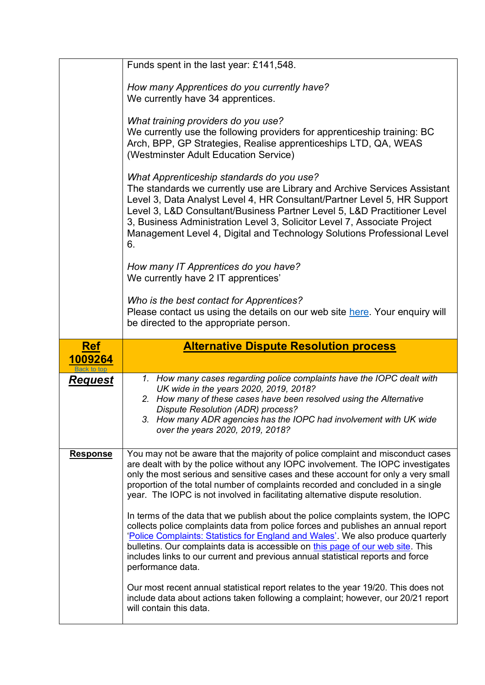<span id="page-10-0"></span>

|                        | Funds spent in the last year: £141,548.                                                                                                                                                                                                                                                                                                                                                                                                               |
|------------------------|-------------------------------------------------------------------------------------------------------------------------------------------------------------------------------------------------------------------------------------------------------------------------------------------------------------------------------------------------------------------------------------------------------------------------------------------------------|
|                        | How many Apprentices do you currently have?<br>We currently have 34 apprentices.                                                                                                                                                                                                                                                                                                                                                                      |
|                        | What training providers do you use?<br>We currently use the following providers for apprenticeship training: BC<br>Arch, BPP, GP Strategies, Realise apprenticeships LTD, QA, WEAS<br>(Westminster Adult Education Service)                                                                                                                                                                                                                           |
|                        | What Apprenticeship standards do you use?<br>The standards we currently use are Library and Archive Services Assistant<br>Level 3, Data Analyst Level 4, HR Consultant/Partner Level 5, HR Support<br>Level 3, L&D Consultant/Business Partner Level 5, L&D Practitioner Level<br>3, Business Administration Level 3, Solicitor Level 7, Associate Project<br>Management Level 4, Digital and Technology Solutions Professional Level<br>6.           |
|                        | How many IT Apprentices do you have?<br>We currently have 2 IT apprentices'                                                                                                                                                                                                                                                                                                                                                                           |
|                        | Who is the best contact for Apprentices?<br>Please contact us using the details on our web site here. Your enquiry will<br>be directed to the appropriate person.                                                                                                                                                                                                                                                                                     |
|                        |                                                                                                                                                                                                                                                                                                                                                                                                                                                       |
| <u>Ref</u>             | <b>Alternative Dispute Resolution process</b>                                                                                                                                                                                                                                                                                                                                                                                                         |
| 1009264<br>Back to top |                                                                                                                                                                                                                                                                                                                                                                                                                                                       |
| <u>Request</u>         | 1. How many cases regarding police complaints have the IOPC dealt with<br>UK wide in the years 2020, 2019, 2018?<br>2. How many of these cases have been resolved using the Alternative<br>Dispute Resolution (ADR) process?<br>3. How many ADR agencies has the IOPC had involvement with UK wide<br>over the years 2020, 2019, 2018?                                                                                                                |
| <b>Response</b>        | You may not be aware that the majority of police complaint and misconduct cases<br>are dealt with by the police without any IOPC involvement. The IOPC investigates<br>only the most serious and sensitive cases and these account for only a very small<br>proportion of the total number of complaints recorded and concluded in a single<br>year. The IOPC is not involved in facilitating alternative dispute resolution.                         |
|                        | In terms of the data that we publish about the police complaints system, the IOPC<br>collects police complaints data from police forces and publishes an annual report<br>'Police Complaints: Statistics for England and Wales'. We also produce quarterly<br>bulletins. Our complaints data is accessible on this page of our web site. This<br>includes links to our current and previous annual statistical reports and force<br>performance data. |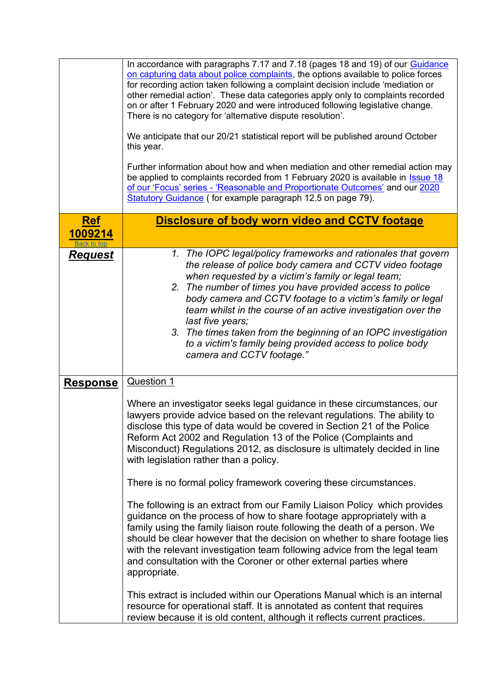<span id="page-11-0"></span>

|                                      | In accordance with paragraphs 7.17 and 7.18 (pages 18 and 19) of our Guidance<br>on capturing data about police complaints, the options available to police forces<br>for recording action taken following a complaint decision include 'mediation or<br>other remedial action'. These data categories apply only to complaints recorded<br>on or after 1 February 2020 and were introduced following legislative change.<br>There is no category for 'alternative dispute resolution'.                                                                                                                                                                                                                                                                                                                                                                                                                                                                                                                                                                                                                                                                                                                                                    |
|--------------------------------------|--------------------------------------------------------------------------------------------------------------------------------------------------------------------------------------------------------------------------------------------------------------------------------------------------------------------------------------------------------------------------------------------------------------------------------------------------------------------------------------------------------------------------------------------------------------------------------------------------------------------------------------------------------------------------------------------------------------------------------------------------------------------------------------------------------------------------------------------------------------------------------------------------------------------------------------------------------------------------------------------------------------------------------------------------------------------------------------------------------------------------------------------------------------------------------------------------------------------------------------------|
|                                      | We anticipate that our 20/21 statistical report will be published around October<br>this year.                                                                                                                                                                                                                                                                                                                                                                                                                                                                                                                                                                                                                                                                                                                                                                                                                                                                                                                                                                                                                                                                                                                                             |
|                                      | Further information about how and when mediation and other remedial action may<br>be applied to complaints recorded from 1 February 2020 is available in Issue 18<br>of our 'Focus' series - 'Reasonable and Proportionate Outcomes' and our 2020<br>Statutory Guidance (for example paragraph 12.5 on page 79).                                                                                                                                                                                                                                                                                                                                                                                                                                                                                                                                                                                                                                                                                                                                                                                                                                                                                                                           |
| <u>Ref</u><br>1009214<br>Back to ton | <b>Disclosure of body worn video and CCTV footage</b>                                                                                                                                                                                                                                                                                                                                                                                                                                                                                                                                                                                                                                                                                                                                                                                                                                                                                                                                                                                                                                                                                                                                                                                      |
| <b>Request</b>                       | 1. The IOPC legal/policy frameworks and rationales that govern<br>the release of police body camera and CCTV video footage<br>when requested by a victim's family or legal team;<br>2. The number of times you have provided access to police<br>body camera and CCTV footage to a victim's family or legal<br>team whilst in the course of an active investigation over the<br>last five years;<br>3. The times taken from the beginning of an IOPC investigation<br>to a victim's family being provided access to police body<br>camera and CCTV footage."                                                                                                                                                                                                                                                                                                                                                                                                                                                                                                                                                                                                                                                                               |
| <b>Response</b>                      | <b>Question 1</b><br>Where an investigator seeks legal guidance in these circumstances, our<br>lawyers provide advice based on the relevant regulations. The ability to<br>disclose this type of data would be covered in Section 21 of the Police<br>Reform Act 2002 and Regulation 13 of the Police (Complaints and<br>Misconduct) Regulations 2012, as disclosure is ultimately decided in line<br>with legislation rather than a policy.<br>There is no formal policy framework covering these circumstances.<br>The following is an extract from our Family Liaison Policy which provides<br>guidance on the process of how to share footage appropriately with a<br>family using the family liaison route following the death of a person. We<br>should be clear however that the decision on whether to share footage lies<br>with the relevant investigation team following advice from the legal team<br>and consultation with the Coroner or other external parties where<br>appropriate.<br>This extract is included within our Operations Manual which is an internal<br>resource for operational staff. It is annotated as content that requires<br>review because it is old content, although it reflects current practices. |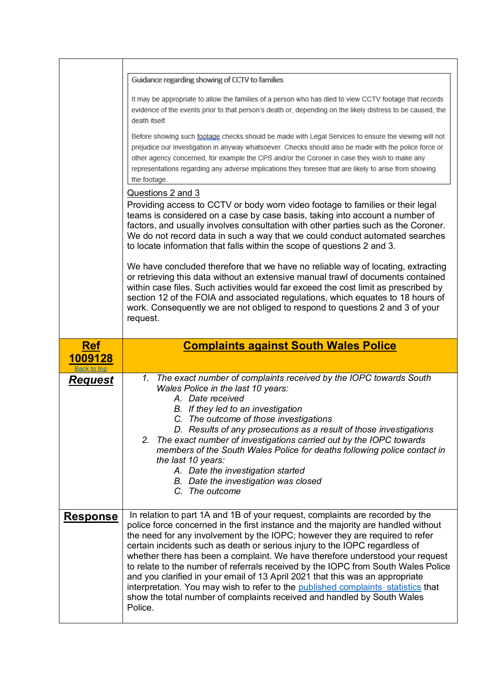<span id="page-12-0"></span>

|                                      | Guidance regarding showing of CCTV to families                                                                                                                                                                                                                                                                                                                                                                                                                                                                                                                 |
|--------------------------------------|----------------------------------------------------------------------------------------------------------------------------------------------------------------------------------------------------------------------------------------------------------------------------------------------------------------------------------------------------------------------------------------------------------------------------------------------------------------------------------------------------------------------------------------------------------------|
|                                      | It may be appropriate to allow the families of a person who has died to view CCTV footage that records<br>evidence of the events prior to that person's death or, depending on the likely distress to be caused, the<br>death itself.                                                                                                                                                                                                                                                                                                                          |
|                                      | Before showing such footage checks should be made with Legal Services to ensure the viewing will not<br>prejudice our investigation in anyway whatsoever. Checks should also be made with the police force or<br>other agency concerned, for example the CPS and/or the Coroner in case they wish to make any<br>representations regarding any adverse implications they foresee that are likely to arise from showing<br>the footage.                                                                                                                         |
|                                      | Questions 2 and 3                                                                                                                                                                                                                                                                                                                                                                                                                                                                                                                                              |
|                                      | Providing access to CCTV or body worn video footage to families or their legal<br>teams is considered on a case by case basis, taking into account a number of<br>factors, and usually involves consultation with other parties such as the Coroner.<br>We do not record data in such a way that we could conduct automated searches<br>to locate information that falls within the scope of questions 2 and 3.                                                                                                                                                |
|                                      | We have concluded therefore that we have no reliable way of locating, extracting<br>or retrieving this data without an extensive manual trawl of documents contained<br>within case files. Such activities would far exceed the cost limit as prescribed by<br>section 12 of the FOIA and associated regulations, which equates to 18 hours of<br>work. Consequently we are not obliged to respond to questions 2 and 3 of your<br>request.                                                                                                                    |
|                                      |                                                                                                                                                                                                                                                                                                                                                                                                                                                                                                                                                                |
|                                      |                                                                                                                                                                                                                                                                                                                                                                                                                                                                                                                                                                |
| <b>Ref</b><br>1009128                | <b>Complaints against South Wales Police</b>                                                                                                                                                                                                                                                                                                                                                                                                                                                                                                                   |
| <b>Back to top</b><br><b>Request</b> | 1. The exact number of complaints received by the IOPC towards South<br>Wales Police in the last 10 years:<br>A. Date received<br>B. If they led to an investigation<br>C. The outcome of those investigations<br>D. Results of any prosecutions as a result of those investigations<br>2. The exact number of investigations carried out by the IOPC towards<br>members of the South Wales Police for deaths following police contact in<br>the last 10 years:<br>A. Date the investigation started<br>B. Date the investigation was closed<br>C. The outcome |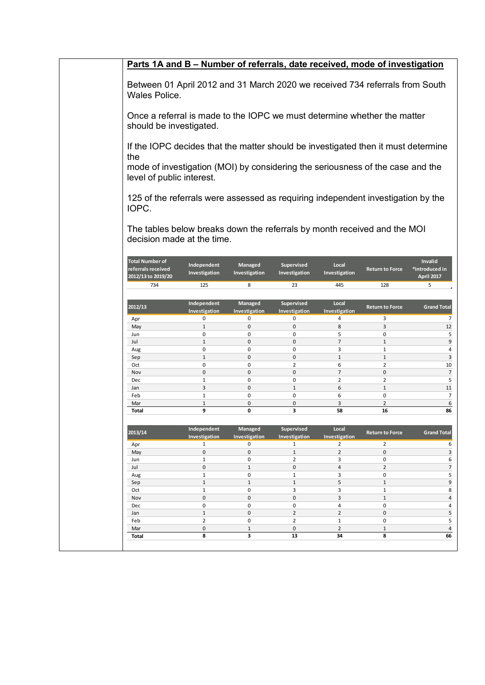| Parts 1A and B - Number of referrals, date received, mode of investigation                             |                                                                                                                                                                                                  |                                 |                                    |                        |                        |                                         |  |
|--------------------------------------------------------------------------------------------------------|--------------------------------------------------------------------------------------------------------------------------------------------------------------------------------------------------|---------------------------------|------------------------------------|------------------------|------------------------|-----------------------------------------|--|
| Between 01 April 2012 and 31 March 2020 we received 734 referrals from South<br>Wales Police.          |                                                                                                                                                                                                  |                                 |                                    |                        |                        |                                         |  |
| Once a referral is made to the IOPC we must determine whether the matter<br>should be investigated.    |                                                                                                                                                                                                  |                                 |                                    |                        |                        |                                         |  |
| the                                                                                                    | If the IOPC decides that the matter should be investigated then it must determine<br>mode of investigation (MOI) by considering the seriousness of the case and the<br>level of public interest. |                                 |                                    |                        |                        |                                         |  |
| 125 of the referrals were assessed as requiring independent investigation by the<br>IOPC.              |                                                                                                                                                                                                  |                                 |                                    |                        |                        |                                         |  |
| The tables below breaks down the referrals by month received and the MOI<br>decision made at the time. |                                                                                                                                                                                                  |                                 |                                    |                        |                        |                                         |  |
| <b>Total Number of</b><br>referrals received<br>2012/13 to 2019/20                                     | Independent<br>Investigation                                                                                                                                                                     | <b>Managed</b><br>Investigation | <b>Supervised</b><br>Investigation | Local<br>Investigation | <b>Return to Force</b> | Invalid<br>*introduced in<br>April 2017 |  |
| 734                                                                                                    | 125                                                                                                                                                                                              | 8                               | 23                                 | 445                    | 128                    | 5                                       |  |
| 2012/13                                                                                                | Independent                                                                                                                                                                                      | Managed                         | Supervised                         | Local                  | <b>Return to Force</b> | <b>Grand Total</b>                      |  |
| Apr                                                                                                    | Investigation<br>0                                                                                                                                                                               | Investigation<br>0              | Investigation<br>0                 | Investigation<br>4     | 3                      | 7                                       |  |
| May                                                                                                    | $\mathbf{1}$                                                                                                                                                                                     | $\mathbf 0$                     | 0                                  | 8                      | 3                      | 12                                      |  |
| Jun                                                                                                    | 0                                                                                                                                                                                                | 0                               | 0                                  | 5                      | 0                      | 5                                       |  |
| Jul                                                                                                    | $\mathbf{1}$                                                                                                                                                                                     | $\mathbf 0$                     | $\mathbf{0}$                       | $\overline{7}$         | $\mathbf{1}$           | 9                                       |  |
| Aug                                                                                                    | $\mathbf 0$                                                                                                                                                                                      | 0                               | 0                                  | 3                      | $\mathbf{1}$           | 4                                       |  |
| Sep                                                                                                    | $\mathbf{1}$                                                                                                                                                                                     | $\mathbf 0$                     | 0                                  | $\mathbf{1}$           | $\mathbf{1}$           | $\mathbf{3}$                            |  |
| Oct<br>Nov                                                                                             | $\mathbf 0$<br>$\mathbf 0$                                                                                                                                                                       | $\mathbf 0$<br>$\mathbf 0$      | $\overline{2}$<br>$\mathsf 0$      | 6<br>$\overline{7}$    | $\overline{2}$<br>0    | 10<br>$\overline{7}$                    |  |
| Dec                                                                                                    | $\mathbf{1}$                                                                                                                                                                                     | $\mathbf 0$                     | 0                                  | $\overline{2}$         | $\overline{2}$         | 5                                       |  |
| Jan                                                                                                    | 3                                                                                                                                                                                                | $\mathbf{0}$                    | $\mathbf{1}$                       | 6                      | $\mathbf{1}$           | 11                                      |  |
| Feb                                                                                                    | $\mathbf{1}$                                                                                                                                                                                     | $\mathbf 0$                     | 0                                  | 6                      | 0                      | $\overline{7}$                          |  |
| Mar                                                                                                    | $\mathbf{1}$                                                                                                                                                                                     | 0                               | 0                                  | 3                      | $\overline{2}$         | 6                                       |  |
| Total                                                                                                  | 9                                                                                                                                                                                                | 0                               | 3                                  | 58                     | 16                     | 86                                      |  |
| 2013/14                                                                                                | Independent<br>Investigation                                                                                                                                                                     | Managed<br>Investigation        | Supervised<br>Investigation        | Local<br>Investigation | <b>Return to Force</b> | <b>Grand Total</b>                      |  |
| Apr                                                                                                    | $\mathbf{1}$                                                                                                                                                                                     | 0                               | $\mathbf{1}$                       | $\overline{2}$         | $\overline{2}$         | 6                                       |  |
| May                                                                                                    | 0                                                                                                                                                                                                | $\mathsf 0$                     | $\mathbf{1}$                       | $\overline{2}$         | 0                      | $\overline{\mathbf{3}}$                 |  |
| Jun                                                                                                    | $\mathbf{1}$                                                                                                                                                                                     | 0                               | $\overline{2}$                     | 3                      | 0                      | 6                                       |  |
| Jul<br>Aug                                                                                             | $\mathbf 0$<br>$\mathbf{1}$                                                                                                                                                                      | $\mathbf{1}$<br>$\mathsf 0$     | $\pmb{0}$<br>$\mathbf 1$           | $\overline{4}$<br>3    | $\overline{2}$<br>0    | $\overline{7}$<br>5                     |  |
| Sep                                                                                                    | $\mathbf{1}$                                                                                                                                                                                     | $\mathbf{1}$                    | $\mathbf{1}$                       | 5                      | $\mathbf{1}$           | $9\,$                                   |  |
| Oct                                                                                                    | $\mathbf{1}$                                                                                                                                                                                     | 0                               | 3                                  | 3                      | $\mathbf{1}$           | 8                                       |  |
| Nov                                                                                                    | 0                                                                                                                                                                                                | $\mathbf 0$                     | $\mathsf 0$                        | 3                      | $\mathbf{1}$           | $\overline{a}$                          |  |
| Dec                                                                                                    | 0                                                                                                                                                                                                | 0                               | $\pmb{0}$                          | 4                      | 0                      | $\overline{4}$                          |  |
| Jan                                                                                                    | $\mathbf{1}$                                                                                                                                                                                     | $\mathbf 0$                     | $\overline{2}$                     | $\overline{2}$         | 0                      | 5                                       |  |
| Feb                                                                                                    | $\overline{2}$                                                                                                                                                                                   | 0                               | $\overline{2}$                     | $\mathbf{1}$           | 0                      | 5                                       |  |
| Mar<br><b>Total</b>                                                                                    | $\mathbf 0$<br>8                                                                                                                                                                                 | $\mathbf{1}$<br>3               | $\mathsf{o}$<br>13                 | $\overline{2}$<br>34   | $\mathbf{1}$<br>8      | $\sqrt{4}$<br>66                        |  |
|                                                                                                        |                                                                                                                                                                                                  |                                 |                                    |                        |                        |                                         |  |
|                                                                                                        |                                                                                                                                                                                                  |                                 |                                    |                        |                        |                                         |  |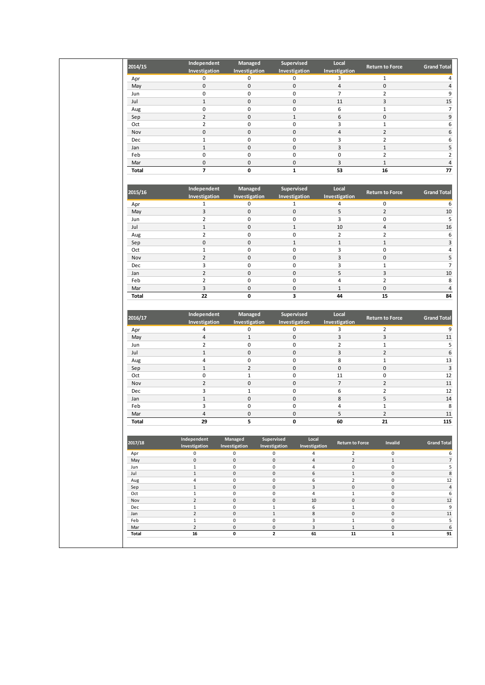|              | Independent<br>Investigation   | Managed<br>Investigation           | Supervised<br>Investigation                                          | Local<br>Investigation              | <b>Return to Force</b>              | <b>Grand Total</b>                     |
|--------------|--------------------------------|------------------------------------|----------------------------------------------------------------------|-------------------------------------|-------------------------------------|----------------------------------------|
| Apr          | 0                              | 0                                  | 0                                                                    | 3                                   | $\mathbf{1}$                        | 4                                      |
| May          | $\pmb{0}$                      | $\mathsf 0$                        | $\mathsf 0$                                                          | $\overline{4}$                      | $\pmb{0}$                           | $\sqrt{4}$                             |
| Jun          | $\pmb{0}$                      | $\mathsf 0$                        | $\pmb{0}$                                                            | $\overline{7}$                      | $\overline{2}$                      | 9                                      |
| Jul          | $\mathbf 1$                    | $\pmb{0}$                          | $\pmb{0}$                                                            | 11                                  | 3                                   | 15                                     |
| Aug          | $\pmb{0}$                      | $\pmb{0}$                          | $\pmb{0}$                                                            | 6                                   | $\mathbf 1$                         | $\overline{7}$                         |
| Sep          | $\mathbf 2$                    | $\mathsf{O}\xspace$                | $\,1\,$                                                              | $\boldsymbol{6}$                    | $\pmb{0}$                           | 9                                      |
| Oct          | $\overline{2}$                 | $\mathsf 0$                        | $\mathsf 0$                                                          | 3                                   | $\mathbf{1}$                        | 6                                      |
| Nov          | $\mathbf 0$                    | $\mathsf{O}\xspace$                | $\pmb{0}$                                                            | $\overline{4}$                      | $\overline{2}$                      | $\boldsymbol{6}$                       |
| Dec          | $\mathbf 1$                    | 0                                  | $\pmb{0}$                                                            | 3                                   | $\overline{2}$                      | 6                                      |
| Jan          | $\,1\,$                        | $\mathsf 0$                        | $\pmb{0}$                                                            | $\overline{3}$                      | $\mathbf{1}$                        | 5                                      |
| Feb          | $\mathsf 0$                    | $\mathsf 0$                        | $\mathsf 0$                                                          | $\mathsf 0$                         | $\overline{2}$                      | $\overline{2}$                         |
| Mar          | $\pmb{0}$                      | $\mathsf 0$                        | $\pmb{0}$                                                            | $\mathsf{3}$                        | $\mathbf{1}$                        | $\sqrt{4}$                             |
| <b>Total</b> | $\overline{z}$                 | $\mathbf 0$                        | $\mathbf{1}$                                                         | 53                                  | 16                                  | 77                                     |
| 2015/16      | Independent                    | Managed                            | Supervised                                                           | Local                               | <b>Return to Force</b>              | <b>Grand Total</b>                     |
|              | Investigation                  | Investigation                      | Investigation                                                        | Investigation                       |                                     |                                        |
| Apr          | $\mathbf 1$                    | 0                                  | $\mathbf 1$                                                          | 4                                   | 0                                   | 6                                      |
| May          | 3                              | $\mathsf{O}\xspace$                | $\mathsf 0$                                                          | 5                                   | $\overline{2}$                      | $10\,$                                 |
| Jun          | $\overline{2}$                 | $\mathsf 0$                        | $\mathsf 0$                                                          | 3                                   | $\pmb{0}$                           | 5                                      |
| Jul          | $1\,$                          | $\mathsf 0$                        | $\mathbf 1$                                                          | $10\,$                              | $\overline{4}$                      | 16                                     |
| Aug          | $\overline{2}$                 | $\pmb{0}$                          | $\pmb{0}$                                                            | $\overline{2}$                      | $\overline{2}$                      | 6                                      |
| Sep          | $\pmb{0}$<br>$1\,$             | $\mathsf 0$<br>$\pmb{0}$           | $\,1\,$<br>$\pmb{0}$                                                 | $\mathbf{1}$<br>3                   | $\mathbf{1}$<br>$\pmb{0}$           | $\mathsf 3$<br>$\overline{\mathbf{4}}$ |
| Oct<br>Nov   | $\mathbf 2$                    | $\pmb{0}$                          | $\pmb{0}$                                                            | 3                                   | $\pmb{0}$                           | 5                                      |
| Dec          | 3                              | $\pmb{0}$                          | $\pmb{0}$                                                            | 3                                   | $\mathbf 1$                         | $\boldsymbol{7}$                       |
| Jan          | $\overline{2}$                 | $\mathsf 0$                        | $\mathsf 0$                                                          | 5                                   | 3                                   | $10\,$                                 |
| Feb          | $\overline{2}$                 | 0                                  | $\mathbf 0$                                                          | $\overline{4}$                      | $\overline{2}$                      | 8                                      |
| Mar          | $\overline{3}$                 | $\mathsf{O}\xspace$                | $\mathsf 0$                                                          | $\mathbf{1}$                        | $\mathsf{O}\xspace$                 | $\overline{4}$                         |
| <b>Total</b> | 22                             | 0                                  | 3                                                                    | 44                                  | 15                                  | 84                                     |
| 2016/17      | Independent<br>Investigation   | Managed<br>Investigation           | Supervised<br>Investigation                                          | Local<br>Investigation              | <b>Return to Force</b>              | <b>Grand Total</b>                     |
|              |                                |                                    |                                                                      |                                     |                                     |                                        |
| Apr          | 4                              | 0                                  | 0                                                                    | 3                                   | $\overline{2}$                      | 9                                      |
| May          | $\sqrt{4}$                     | $\mathbf 1$                        | $\mathsf 0$                                                          | $\overline{\mathbf{3}}$             | $\overline{\mathbf{3}}$             | $11\,$                                 |
| Jun          | $\overline{2}$                 | $\pmb{0}$                          | $\mathsf 0$                                                          | $\overline{2}$                      | $\mathbf 1$                         | 5                                      |
| Jul          | $\mathbf 1$                    | $\pmb{0}$                          | $\pmb{0}$                                                            | 3                                   | $\overline{2}$                      | $\boldsymbol{6}$                       |
| Aug          | 4<br>$\,1\,$                   | $\pmb{0}$<br>$\overline{2}$        | $\pmb{0}$<br>$\pmb{0}$                                               | 8<br>$\mathsf 0$                    | $\mathbf 1$<br>$\mathsf 0$          | 13                                     |
| Sep<br>Oct   | $\pmb{0}$                      | $\mathbf 1$                        | $\pmb{0}$                                                            | 11                                  | $\pmb{0}$                           | $\overline{\mathbf{3}}$                |
| Nov          | $\overline{2}$                 | $\mathsf{O}\xspace$                | $\mathsf 0$                                                          | $\overline{7}$                      | $\overline{2}$                      | 12<br>$11\,$                           |
| Dec          | 3                              | $\mathbf 1$                        | $\pmb{0}$                                                            | 6                                   | $\mathbf 2$                         | $12\,$                                 |
| Jan          | $1\,$                          | $\mathsf 0$                        | $\pmb{0}$                                                            | 8                                   | 5                                   | $14\,$                                 |
| Feb          | 3                              | $\mathsf 0$                        | $\pmb{0}$                                                            | 4                                   | $\mathbf{1}$                        | $\overline{\bf 8}$                     |
| Mar          | 4                              | 0                                  | 0                                                                    | 5                                   | $\overline{2}$                      | 11                                     |
| Total        | 29                             | 5                                  | U                                                                    | 60                                  | 21                                  | 115                                    |
| 2017/18      | Independent<br>Investigation   | Managed<br>Investigation           | Supervised<br>Local<br>Investigation<br>Investigation                | <b>Return to Force</b>              | Invalid                             | <b>Grand Total</b>                     |
| Apr          | 0                              | 0                                  | $\mathbf 0$<br>$\overline{a}$                                        | $\overline{2}$                      | $\mathsf{O}\xspace$                 | 6                                      |
| May          | $\mathsf{O}\xspace$            | $\mathsf{O}\xspace$                | $\mathsf 0$<br>$\overline{4}$                                        | $\overline{2}$                      | $\mathbf{1}$                        | $\sqrt{7}$                             |
| Jun<br>Jul   | $\mathbf{1}$<br>$\mathbf 1$    | $\pmb{0}$<br>$\mathsf{O}\xspace$   | $\mathsf 0$<br>$\overline{\mathbf{4}}$<br>$\mathsf{O}\xspace$<br>6   | $\mathsf{O}\xspace$<br>$\mathbf{1}$ | 0<br>$\mathsf{O}\xspace$            | $\overline{\mathbf{5}}$<br>$\bf 8$     |
| Aug          | $\overline{4}$                 | $\mathsf{O}\xspace$                | $\mathsf 0$<br>6                                                     | $\overline{2}$                      | 0                                   | 12                                     |
| Sep          | $\mathbf 1$                    | $\pmb{0}$                          | $\mathsf{O}\xspace$<br>$\mathbf{3}$                                  | $\mathsf 0$                         | $\mathsf{O}\xspace$                 | $\overline{a}$                         |
| Oct          | $\mathbf{1}$                   | $\pmb{0}$                          | $\mathsf{O}\xspace$<br>$\overline{\mathbf{4}}$                       | $\mathbf 1$                         | 0                                   | 6                                      |
| Nov          | $\overline{2}$                 | $\mathbf 0$                        | $\mathsf{O}\xspace$<br>$10\,$                                        | $\mathsf 0$                         | $\mathsf{O}\xspace$                 | 12                                     |
| Dec<br>Jan   | $\mathbf{1}$<br>$\overline{2}$ | $\mathsf{O}\xspace$<br>$\mathbf 0$ | $1\,$<br>6<br>$\mathbf 1$<br>8                                       | $\mathbf{1}$<br>$\mathsf 0$         | 0<br>$\mathsf{O}\xspace$            | 9<br>11                                |
| Feb          | $1\,$                          | $\pmb{0}$                          | $\mathbf{3}$<br>$\mathsf 0$                                          | $\mathbf 1$                         | 0                                   | $\overline{\phantom{a}}$               |
| Mar<br>Total | $\overline{2}$<br>16           | $\mathsf{O}\xspace$<br>0           | $\mathsf{O}\xspace$<br>$\overline{\mathbf{3}}$<br>$\mathbf{2}$<br>61 | $\mathbf{1}$<br>${\bf 11}$          | $\mathsf{O}\xspace$<br>$\mathbf{1}$ | $6\overline{6}$<br>91                  |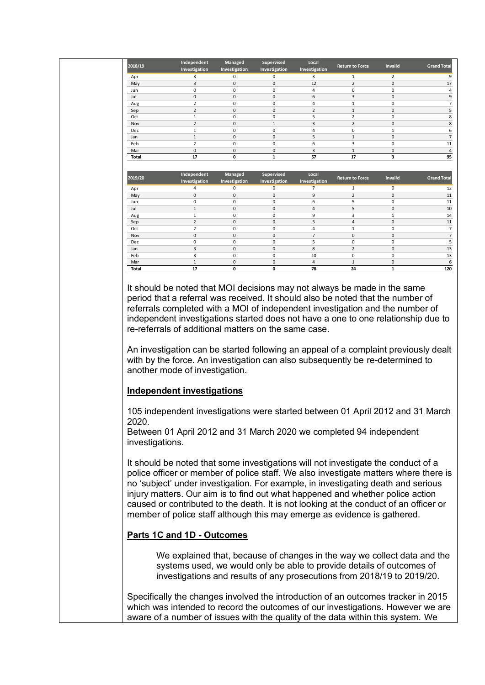| 2018/19      | Independent                    | Managed          | Supervised       | Local               | <b>Return to Force</b> | Invalid                     | <b>Grand Total</b> |
|--------------|--------------------------------|------------------|------------------|---------------------|------------------------|-----------------------------|--------------------|
|              | Investigation                  | Investigation    | Investigation    | Investigation       |                        |                             |                    |
| Apr          | 3                              | 0                | 0                | 3                   | 1                      | $\overline{2}$              |                    |
| May          | 3                              | $\mathbf 0$      | $\mathbf{0}$     | 12                  | $\overline{2}$         | $\mathbf 0$                 | 17                 |
| Jun          | $\mathbf 0$                    | $\Omega$         | 0                | 4                   | 0                      | $\Omega$                    |                    |
| Jul          | $\mathbf 0$                    | $\Omega$         | $\mathbf 0$      | 6                   | 3                      | $\Omega$                    |                    |
| Aug          | $\overline{2}$                 | 0                | 0                | $\overline{4}$      | $\mathbf{1}$           | $\mathbf 0$                 |                    |
| Sep          | $\overline{2}$                 | $\mathbf 0$      | $\mathbf 0$      | $\overline{2}$      | $\mathbf{1}$           | $\mathbf 0$                 |                    |
| Oct          | 1                              | 0                | 0                | 5                   | $\overline{2}$         | $\mathbf 0$                 |                    |
| Nov          | $\overline{2}$                 | $\mathbf 0$      | $\mathbf{1}$     | 3                   | $\overline{2}$         | $\mathbf 0$                 |                    |
| Dec          | 1                              | 0                | 0                | 4                   | $\mathbf 0$            | 1                           |                    |
| Jan          | $\mathbf{1}$                   | $\mathbf 0$      | $\mathbf{0}$     | 5                   | $\mathbf{1}$           | $\mathbf 0$                 |                    |
| Feb          | $\overline{2}$                 | 0                | 0                | 6                   | 3                      | $\mathbf 0$                 | 11                 |
| Mar          | $\mathbf 0$                    | $\mathbf 0$      | $\mathbf{0}$     | 3                   | $\mathbf{1}$           | $\mathbf 0$                 |                    |
| <b>Total</b> | 17                             | 0                | $\mathbf 1$      | 57                  | 17                     | 3                           | 95                 |
|              |                                |                  |                  |                     |                        |                             |                    |
| 2019/20      | Independent                    | Managed          | Supervised       | Local               | <b>Return to Force</b> | <b>Invalid</b>              | <b>Grand Total</b> |
|              | Investigation                  | Investigation    | Investigation    | Investigation       |                        |                             |                    |
| Apr          | 4                              | 0                | 0                | $\overline{7}$      | $\mathbf{1}$           | $\mathbf 0$                 | 12                 |
| May          | $\mathbf 0$                    | $\mathbf 0$      | $\mathbf 0$      | 9                   | $\overline{2}$         | $\mathbf 0$                 |                    |
| Jun          | $\mathbf 0$                    | $\Omega$         | 0                | 6                   | 5                      | $\Omega$                    | 11<br>11           |
| Jul          | $\mathbf{1}$                   | $\mathbf 0$      | $\mathbf 0$      | $\overline{4}$<br>9 | 5                      | $\mathbf 0$                 | 10                 |
| Aug          | $\mathbf{1}$<br>$\overline{2}$ | 0<br>$\mathbf 0$ | 0<br>$\mathbf 0$ | 5                   | 3<br>4                 | $\mathbf{1}$<br>$\mathbf 0$ |                    |
| Sep<br>Oct   | $\overline{2}$                 | 0                | 0                | $\overline{4}$      | $\mathbf{1}$           | $\mathbf 0$                 | 14<br>11           |
| Nov          | $\mathbf 0$                    | $\Omega$         | $\mathbf 0$      | $\overline{7}$      | $\mathbf 0$            | $\Omega$                    |                    |
| Dec          | $\mathbf 0$                    | 0                | 0                | 5                   | 0                      | $\mathbf 0$                 |                    |
| Jan          | 3                              | $\mathbf 0$      | $\mathbf 0$      | 8                   | $\overline{2}$         | $\mathbf 0$                 |                    |
| Feb          | 3                              | 0                | 0                | 10                  | 0                      | $\mathbf 0$                 | 13<br>13           |
| Mar          | $\mathbf{1}$                   | $\Omega$         | $\mathbf 0$      | 4                   | $\mathbf{1}$           | $\Omega$                    |                    |

referrals completed with a MOI of independent investigation and the number of independent investigations started does not have a one to one relationship due to re-referrals of additional matters on the same case.

An investigation can be started following an appeal of a complaint previously dealt with by the force. An investigation can also subsequently be re-determined to another mode of investigation.

### **Independent investigations**

105 independent investigations were started between 01 April 2012 and 31 March 2020.

Between 01 April 2012 and 31 March 2020 we completed 94 independent investigations.

It should be noted that some investigations will not investigate the conduct of a police officer or member of police staff. We also investigate matters where there is no 'subject' under investigation. For example, in investigating death and serious injury matters. Our aim is to find out what happened and whether police action caused or contributed to the death. It is not looking at the conduct of an officer or member of police staff although this may emerge as evidence is gathered.

### **Parts 1C and 1D - Outcomes**

We explained that, because of changes in the way we collect data and the systems used, we would only be able to provide details of outcomes of investigations and results of any prosecutions from 2018/19 to 2019/20.

Specifically the changes involved the introduction of an outcomes tracker in 2015 which was intended to record the outcomes of our investigations. However we are aware of a number of issues with the quality of the data within this system. We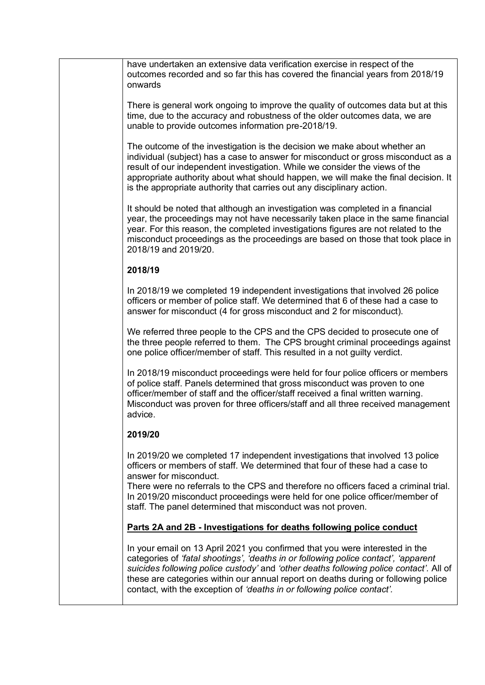| have undertaken an extensive data verification exercise in respect of the<br>outcomes recorded and so far this has covered the financial years from 2018/19<br>onwards<br>There is general work ongoing to improve the quality of outcomes data but at this<br>time, due to the accuracy and robustness of the older outcomes data, we are<br>unable to provide outcomes information pre-2018/19.<br>The outcome of the investigation is the decision we make about whether an<br>individual (subject) has a case to answer for misconduct or gross misconduct as a<br>result of our independent investigation. While we consider the views of the<br>appropriate authority about what should happen, we will make the final decision. It<br>is the appropriate authority that carries out any disciplinary action.<br>It should be noted that although an investigation was completed in a financial<br>year, the proceedings may not have necessarily taken place in the same financial<br>year. For this reason, the completed investigations figures are not related to the<br>misconduct proceedings as the proceedings are based on those that took place in<br>2018/19 and 2019/20.<br>2018/19<br>In 2018/19 we completed 19 independent investigations that involved 26 police<br>officers or member of police staff. We determined that 6 of these had a case to<br>answer for misconduct (4 for gross misconduct and 2 for misconduct).<br>We referred three people to the CPS and the CPS decided to prosecute one of<br>the three people referred to them. The CPS brought criminal proceedings against<br>one police officer/member of staff. This resulted in a not guilty verdict.<br>In 2018/19 misconduct proceedings were held for four police officers or members<br>of police staff. Panels determined that gross misconduct was proven to one<br>officer/member of staff and the officer/staff received a final written warning.<br>Misconduct was proven for three officers/staff and all three received management<br>advice.<br>2019/20<br>In 2019/20 we completed 17 independent investigations that involved 13 police<br>officers or members of staff. We determined that four of these had a case to<br>answer for misconduct.<br>There were no referrals to the CPS and therefore no officers faced a criminal trial.<br>In 2019/20 misconduct proceedings were held for one police officer/member of<br>staff. The panel determined that misconduct was not proven.<br>Parts 2A and 2B - Investigations for deaths following police conduct<br>In your email on 13 April 2021 you confirmed that you were interested in the<br>categories of 'fatal shootings', 'deaths in or following police contact', 'apparent<br>suicides following police custody' and 'other deaths following police contact'. All of<br>these are categories within our annual report on deaths during or following police<br>contact, with the exception of 'deaths in or following police contact'. |  |
|-------------------------------------------------------------------------------------------------------------------------------------------------------------------------------------------------------------------------------------------------------------------------------------------------------------------------------------------------------------------------------------------------------------------------------------------------------------------------------------------------------------------------------------------------------------------------------------------------------------------------------------------------------------------------------------------------------------------------------------------------------------------------------------------------------------------------------------------------------------------------------------------------------------------------------------------------------------------------------------------------------------------------------------------------------------------------------------------------------------------------------------------------------------------------------------------------------------------------------------------------------------------------------------------------------------------------------------------------------------------------------------------------------------------------------------------------------------------------------------------------------------------------------------------------------------------------------------------------------------------------------------------------------------------------------------------------------------------------------------------------------------------------------------------------------------------------------------------------------------------------------------------------------------------------------------------------------------------------------------------------------------------------------------------------------------------------------------------------------------------------------------------------------------------------------------------------------------------------------------------------------------------------------------------------------------------------------------------------------------------------------------------------------------------------------------------------------------------------------------------------------------------------------------------------------------------------------------------------------------------------------------------------------------------------------------------------------------------------------------------------------------------------------------------------------------------------------------------------------------------------------------------------------------------------------------------------------------------------------------------------------------|--|
|                                                                                                                                                                                                                                                                                                                                                                                                                                                                                                                                                                                                                                                                                                                                                                                                                                                                                                                                                                                                                                                                                                                                                                                                                                                                                                                                                                                                                                                                                                                                                                                                                                                                                                                                                                                                                                                                                                                                                                                                                                                                                                                                                                                                                                                                                                                                                                                                                                                                                                                                                                                                                                                                                                                                                                                                                                                                                                                                                                                                             |  |
|                                                                                                                                                                                                                                                                                                                                                                                                                                                                                                                                                                                                                                                                                                                                                                                                                                                                                                                                                                                                                                                                                                                                                                                                                                                                                                                                                                                                                                                                                                                                                                                                                                                                                                                                                                                                                                                                                                                                                                                                                                                                                                                                                                                                                                                                                                                                                                                                                                                                                                                                                                                                                                                                                                                                                                                                                                                                                                                                                                                                             |  |
|                                                                                                                                                                                                                                                                                                                                                                                                                                                                                                                                                                                                                                                                                                                                                                                                                                                                                                                                                                                                                                                                                                                                                                                                                                                                                                                                                                                                                                                                                                                                                                                                                                                                                                                                                                                                                                                                                                                                                                                                                                                                                                                                                                                                                                                                                                                                                                                                                                                                                                                                                                                                                                                                                                                                                                                                                                                                                                                                                                                                             |  |
|                                                                                                                                                                                                                                                                                                                                                                                                                                                                                                                                                                                                                                                                                                                                                                                                                                                                                                                                                                                                                                                                                                                                                                                                                                                                                                                                                                                                                                                                                                                                                                                                                                                                                                                                                                                                                                                                                                                                                                                                                                                                                                                                                                                                                                                                                                                                                                                                                                                                                                                                                                                                                                                                                                                                                                                                                                                                                                                                                                                                             |  |
|                                                                                                                                                                                                                                                                                                                                                                                                                                                                                                                                                                                                                                                                                                                                                                                                                                                                                                                                                                                                                                                                                                                                                                                                                                                                                                                                                                                                                                                                                                                                                                                                                                                                                                                                                                                                                                                                                                                                                                                                                                                                                                                                                                                                                                                                                                                                                                                                                                                                                                                                                                                                                                                                                                                                                                                                                                                                                                                                                                                                             |  |
|                                                                                                                                                                                                                                                                                                                                                                                                                                                                                                                                                                                                                                                                                                                                                                                                                                                                                                                                                                                                                                                                                                                                                                                                                                                                                                                                                                                                                                                                                                                                                                                                                                                                                                                                                                                                                                                                                                                                                                                                                                                                                                                                                                                                                                                                                                                                                                                                                                                                                                                                                                                                                                                                                                                                                                                                                                                                                                                                                                                                             |  |
|                                                                                                                                                                                                                                                                                                                                                                                                                                                                                                                                                                                                                                                                                                                                                                                                                                                                                                                                                                                                                                                                                                                                                                                                                                                                                                                                                                                                                                                                                                                                                                                                                                                                                                                                                                                                                                                                                                                                                                                                                                                                                                                                                                                                                                                                                                                                                                                                                                                                                                                                                                                                                                                                                                                                                                                                                                                                                                                                                                                                             |  |
|                                                                                                                                                                                                                                                                                                                                                                                                                                                                                                                                                                                                                                                                                                                                                                                                                                                                                                                                                                                                                                                                                                                                                                                                                                                                                                                                                                                                                                                                                                                                                                                                                                                                                                                                                                                                                                                                                                                                                                                                                                                                                                                                                                                                                                                                                                                                                                                                                                                                                                                                                                                                                                                                                                                                                                                                                                                                                                                                                                                                             |  |
|                                                                                                                                                                                                                                                                                                                                                                                                                                                                                                                                                                                                                                                                                                                                                                                                                                                                                                                                                                                                                                                                                                                                                                                                                                                                                                                                                                                                                                                                                                                                                                                                                                                                                                                                                                                                                                                                                                                                                                                                                                                                                                                                                                                                                                                                                                                                                                                                                                                                                                                                                                                                                                                                                                                                                                                                                                                                                                                                                                                                             |  |
|                                                                                                                                                                                                                                                                                                                                                                                                                                                                                                                                                                                                                                                                                                                                                                                                                                                                                                                                                                                                                                                                                                                                                                                                                                                                                                                                                                                                                                                                                                                                                                                                                                                                                                                                                                                                                                                                                                                                                                                                                                                                                                                                                                                                                                                                                                                                                                                                                                                                                                                                                                                                                                                                                                                                                                                                                                                                                                                                                                                                             |  |
|                                                                                                                                                                                                                                                                                                                                                                                                                                                                                                                                                                                                                                                                                                                                                                                                                                                                                                                                                                                                                                                                                                                                                                                                                                                                                                                                                                                                                                                                                                                                                                                                                                                                                                                                                                                                                                                                                                                                                                                                                                                                                                                                                                                                                                                                                                                                                                                                                                                                                                                                                                                                                                                                                                                                                                                                                                                                                                                                                                                                             |  |
|                                                                                                                                                                                                                                                                                                                                                                                                                                                                                                                                                                                                                                                                                                                                                                                                                                                                                                                                                                                                                                                                                                                                                                                                                                                                                                                                                                                                                                                                                                                                                                                                                                                                                                                                                                                                                                                                                                                                                                                                                                                                                                                                                                                                                                                                                                                                                                                                                                                                                                                                                                                                                                                                                                                                                                                                                                                                                                                                                                                                             |  |
|                                                                                                                                                                                                                                                                                                                                                                                                                                                                                                                                                                                                                                                                                                                                                                                                                                                                                                                                                                                                                                                                                                                                                                                                                                                                                                                                                                                                                                                                                                                                                                                                                                                                                                                                                                                                                                                                                                                                                                                                                                                                                                                                                                                                                                                                                                                                                                                                                                                                                                                                                                                                                                                                                                                                                                                                                                                                                                                                                                                                             |  |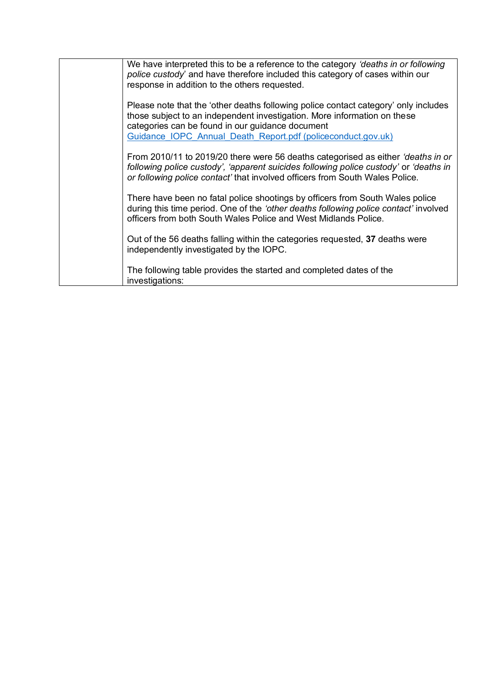| We have interpreted this to be a reference to the category 'deaths in or following<br>police custody' and have therefore included this category of cases within our<br>response in addition to the others requested.                                                                |
|-------------------------------------------------------------------------------------------------------------------------------------------------------------------------------------------------------------------------------------------------------------------------------------|
| Please note that the 'other deaths following police contact category' only includes<br>those subject to an independent investigation. More information on these<br>categories can be found in our guidance document<br>Guidance IOPC Annual Death Report.pdf (policeconduct.gov.uk) |
| From 2010/11 to 2019/20 there were 56 deaths categorised as either 'deaths in or<br>following police custody', 'apparent suicides following police custody' or 'deaths in<br>or following police contact' that involved officers from South Wales Police.                           |
| There have been no fatal police shootings by officers from South Wales police<br>during this time period. One of the 'other deaths following police contact' involved<br>officers from both South Wales Police and West Midlands Police.                                            |
| Out of the 56 deaths falling within the categories requested, 37 deaths were<br>independently investigated by the IOPC.                                                                                                                                                             |
| The following table provides the started and completed dates of the<br>investigations:                                                                                                                                                                                              |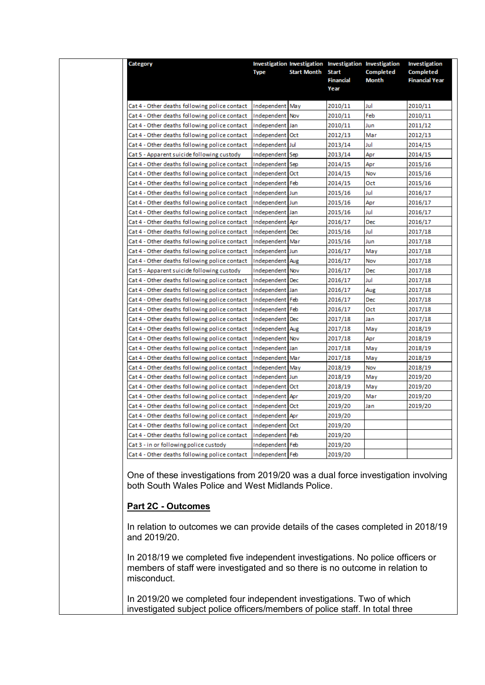| Category                                      |                 | Investigation Investigation Investigation Investigation |                          |                  | <b>Investigation</b>  |
|-----------------------------------------------|-----------------|---------------------------------------------------------|--------------------------|------------------|-----------------------|
|                                               | <b>Type</b>     | <b>Start Month</b>                                      | <b>Start</b>             | <b>Completed</b> | <b>Completed</b>      |
|                                               |                 |                                                         | <b>Financial</b><br>Year | <b>Month</b>     | <b>Financial Year</b> |
|                                               |                 |                                                         |                          |                  |                       |
| Cat 4 - Other deaths following police contact | Independent May |                                                         | 2010/11                  | Jul              | 2010/11               |
| Cat 4 - Other deaths following police contact | Independent Nov |                                                         | 2010/11                  | Feb              | 2010/11               |
| Cat 4 - Other deaths following police contact | Independent Jan |                                                         | 2010/11                  | Jun              | 2011/12               |
| Cat 4 - Other deaths following police contact | Independent Oct |                                                         | 2012/13                  | Mar              | 2012/13               |
| Cat 4 - Other deaths following police contact | Independent Jul |                                                         | 2013/14                  | Jul              | 2014/15               |
| Cat 5 - Apparent suicide following custody    | Independent Sep |                                                         | 2013/14                  | Apr              | 2014/15               |
| Cat 4 - Other deaths following police contact | Independent Sep |                                                         | 2014/15                  | Apr              | 2015/16               |
| Cat 4 - Other deaths following police contact | Independent Oct |                                                         | 2014/15                  | Nov              | 2015/16               |
| Cat 4 - Other deaths following police contact | Independent Feb |                                                         | 2014/15                  | Oct              | 2015/16               |
| Cat 4 - Other deaths following police contact | Independent Jun |                                                         | 2015/16                  | Jul              | 2016/17               |
| Cat 4 - Other deaths following police contact | Independent Jun |                                                         | 2015/16                  | Apr              | 2016/17               |
| Cat 4 - Other deaths following police contact | Independent Jan |                                                         | 2015/16                  | Jul              | 2016/17               |
| Cat 4 - Other deaths following police contact | Independent Apr |                                                         | 2016/17                  | Dec              | 2016/17               |
| Cat 4 - Other deaths following police contact | Independent Dec |                                                         | 2015/16                  | Jul              | 2017/18               |
| Cat 4 - Other deaths following police contact | Independent Mar |                                                         | 2015/16                  | Jun              | 2017/18               |
| Cat 4 - Other deaths following police contact | Independent Jun |                                                         | 2016/17                  | May              | 2017/18               |
| Cat 4 - Other deaths following police contact | Independent Aug |                                                         | 2016/17                  | Nov              | 2017/18               |
| Cat 5 - Apparent suicide following custody    | Independent Nov |                                                         | 2016/17                  | Dec              | 2017/18               |
| Cat 4 - Other deaths following police contact | Independent Dec |                                                         | 2016/17                  | Jul              | 2017/18               |
| Cat 4 - Other deaths following police contact | Independent Jan |                                                         | 2016/17                  | Aug              | 2017/18               |
| Cat 4 - Other deaths following police contact | Independent     | Feb                                                     | 2016/17                  | <b>Dec</b>       | 2017/18               |
| Cat 4 - Other deaths following police contact | Independent Feb |                                                         | 2016/17                  | Oct              | 2017/18               |
| Cat 4 - Other deaths following police contact | Independent Dec |                                                         | 2017/18                  | Jan              | 2017/18               |
| Cat 4 - Other deaths following police contact | Independent Aug |                                                         | 2017/18                  | May              | 2018/19               |
| Cat 4 - Other deaths following police contact | Independent Nov |                                                         | 2017/18                  | Apr              | 2018/19               |
| Cat 4 - Other deaths following police contact | Independent Jan |                                                         | 2017/18                  | May              | 2018/19               |
| Cat 4 - Other deaths following police contact | Independent Mar |                                                         | 2017/18                  | May              | 2018/19               |
| Cat 4 - Other deaths following police contact | Independent May |                                                         | 2018/19                  | Nov              | 2018/19               |
| Cat 4 - Other deaths following police contact | Independent Jun |                                                         | 2018/19                  | May              | 2019/20               |
| Cat 4 - Other deaths following police contact | Independent Oct |                                                         | 2018/19                  | May              | 2019/20               |
| Cat 4 - Other deaths following police contact | Independent Apr |                                                         | 2019/20                  | Mar              | 2019/20               |
| Cat 4 - Other deaths following police contact | Independent Oct |                                                         | 2019/20                  | Jan              | 2019/20               |
| Cat 4 - Other deaths following police contact | Independent Apr |                                                         | 2019/20                  |                  |                       |
| Cat 4 - Other deaths following police contact | Independent Oct |                                                         | 2019/20                  |                  |                       |
| Cat 4 - Other deaths following police contact | Independent Feb |                                                         | 2019/20                  |                  |                       |
| Cat 3 - in or following police custody        | Independent Feb |                                                         | 2019/20                  |                  |                       |
| Cat 4 - Other deaths following police contact | Independent Feb |                                                         | 2019/20                  |                  |                       |

One of these investigations from 2019/20 was a dual force investigation involving both South Wales Police and West Midlands Police.

### **Part 2C - Outcomes**

In relation to outcomes we can provide details of the cases completed in 2018/19 and 2019/20.

In 2018/19 we completed five independent investigations. No police officers or members of staff were investigated and so there is no outcome in relation to misconduct.

In 2019/20 we completed four independent investigations. Two of which investigated subject police officers/members of police staff. In total three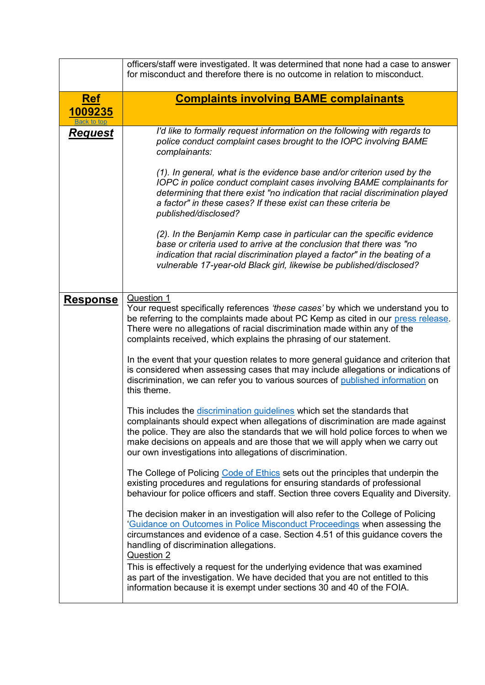<span id="page-19-0"></span>

|                       | officers/staff were investigated. It was determined that none had a case to answer<br>for misconduct and therefore there is no outcome in relation to misconduct.                                                                                                                                                                                                                                                                                                                               |
|-----------------------|-------------------------------------------------------------------------------------------------------------------------------------------------------------------------------------------------------------------------------------------------------------------------------------------------------------------------------------------------------------------------------------------------------------------------------------------------------------------------------------------------|
| <u>Ref</u><br>1009235 | <b>Complaints involving BAME complainants</b>                                                                                                                                                                                                                                                                                                                                                                                                                                                   |
| Request               | I'd like to formally request information on the following with regards to<br>police conduct complaint cases brought to the IOPC involving BAME<br>complainants:<br>(1). In general, what is the evidence base and/or criterion used by the<br>IOPC in police conduct complaint cases involving BAME complainants for<br>determining that there exist "no indication that racial discrimination played<br>a factor" in these cases? If these exist can these criteria be<br>published/disclosed? |
|                       | (2). In the Benjamin Kemp case in particular can the specific evidence<br>base or criteria used to arrive at the conclusion that there was "no<br>indication that racial discrimination played a factor" in the beating of a<br>vulnerable 17-year-old Black girl, likewise be published/disclosed?                                                                                                                                                                                             |
| <u>Response</u>       | Question 1<br>Your request specifically references 'these cases' by which we understand you to<br>be referring to the complaints made about PC Kemp as cited in our press release.<br>There were no allegations of racial discrimination made within any of the<br>complaints received, which explains the phrasing of our statement.                                                                                                                                                           |
|                       | In the event that your question relates to more general guidance and criterion that<br>is considered when assessing cases that may include allegations or indications of<br>discrimination, we can refer you to various sources of published information on<br>this theme.                                                                                                                                                                                                                      |
|                       | This includes the discrimination guidelines which set the standards that<br>complainants should expect when allegations of discrimination are made against<br>the police. They are also the standards that we will hold police forces to when we<br>make decisions on appeals and are those that we will apply when we carry out<br>our own investigations into allegations of discrimination.                                                                                                  |
|                       | The College of Policing Code of Ethics sets out the principles that underpin the<br>existing procedures and regulations for ensuring standards of professional<br>behaviour for police officers and staff. Section three covers Equality and Diversity.                                                                                                                                                                                                                                         |
|                       | The decision maker in an investigation will also refer to the College of Policing<br>'Guidance on Outcomes in Police Misconduct Proceedings when assessing the<br>circumstances and evidence of a case. Section 4.51 of this guidance covers the<br>handling of discrimination allegations.<br>Question 2                                                                                                                                                                                       |
|                       | This is effectively a request for the underlying evidence that was examined<br>as part of the investigation. We have decided that you are not entitled to this<br>information because it is exempt under sections 30 and 40 of the FOIA.                                                                                                                                                                                                                                                        |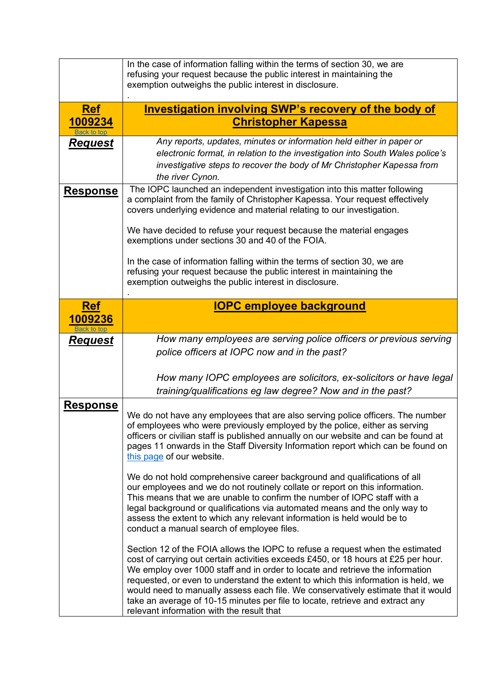<span id="page-20-1"></span><span id="page-20-0"></span>

|                        | In the case of information falling within the terms of section 30, we are<br>refusing your request because the public interest in maintaining the                                                                                                                                                                                                                                                                                                                                                                                                            |
|------------------------|--------------------------------------------------------------------------------------------------------------------------------------------------------------------------------------------------------------------------------------------------------------------------------------------------------------------------------------------------------------------------------------------------------------------------------------------------------------------------------------------------------------------------------------------------------------|
|                        | exemption outweighs the public interest in disclosure.                                                                                                                                                                                                                                                                                                                                                                                                                                                                                                       |
| <b>Ref</b>             | <b>Investigation involving SWP's recovery of the body of</b>                                                                                                                                                                                                                                                                                                                                                                                                                                                                                                 |
| 1009234<br>Back to top | <b>Christopher Kapessa</b>                                                                                                                                                                                                                                                                                                                                                                                                                                                                                                                                   |
| <u>Request</u>         | Any reports, updates, minutes or information held either in paper or<br>electronic format, in relation to the investigation into South Wales police's<br>investigative steps to recover the body of Mr Christopher Kapessa from<br>the river Cynon.                                                                                                                                                                                                                                                                                                          |
| <u>Response</u>        | The IOPC launched an independent investigation into this matter following<br>a complaint from the family of Christopher Kapessa. Your request effectively<br>covers underlying evidence and material relating to our investigation.                                                                                                                                                                                                                                                                                                                          |
|                        | We have decided to refuse your request because the material engages<br>exemptions under sections 30 and 40 of the FOIA.                                                                                                                                                                                                                                                                                                                                                                                                                                      |
|                        | In the case of information falling within the terms of section 30, we are<br>refusing your request because the public interest in maintaining the<br>exemption outweighs the public interest in disclosure.                                                                                                                                                                                                                                                                                                                                                  |
| <b>Ref</b>             | <b>IOPC employee background</b>                                                                                                                                                                                                                                                                                                                                                                                                                                                                                                                              |
| 1009236                |                                                                                                                                                                                                                                                                                                                                                                                                                                                                                                                                                              |
| Request                | How many employees are serving police officers or previous serving<br>police officers at IOPC now and in the past?                                                                                                                                                                                                                                                                                                                                                                                                                                           |
|                        | How many IOPC employees are solicitors, ex-solicitors or have legal<br>training/qualifications eg law degree? Now and in the past?                                                                                                                                                                                                                                                                                                                                                                                                                           |
| <b>Response</b>        | We do not have any employees that are also serving police officers. The number<br>of employees who were previously employed by the police, either as serving<br>officers or civilian staff is published annually on our website and can be found at<br>pages 11 onwards in the Staff Diversity Information report which can be found on<br>this page of our website.                                                                                                                                                                                         |
|                        | We do not hold comprehensive career background and qualifications of all<br>our employees and we do not routinely collate or report on this information.<br>This means that we are unable to confirm the number of IOPC staff with a<br>legal background or qualifications via automated means and the only way to<br>assess the extent to which any relevant information is held would be to<br>conduct a manual search of employee files.                                                                                                                  |
|                        | Section 12 of the FOIA allows the IOPC to refuse a request when the estimated<br>cost of carrying out certain activities exceeds £450, or 18 hours at £25 per hour.<br>We employ over 1000 staff and in order to locate and retrieve the information<br>requested, or even to understand the extent to which this information is held, we<br>would need to manually assess each file. We conservatively estimate that it would<br>take an average of 10-15 minutes per file to locate, retrieve and extract any<br>relevant information with the result that |